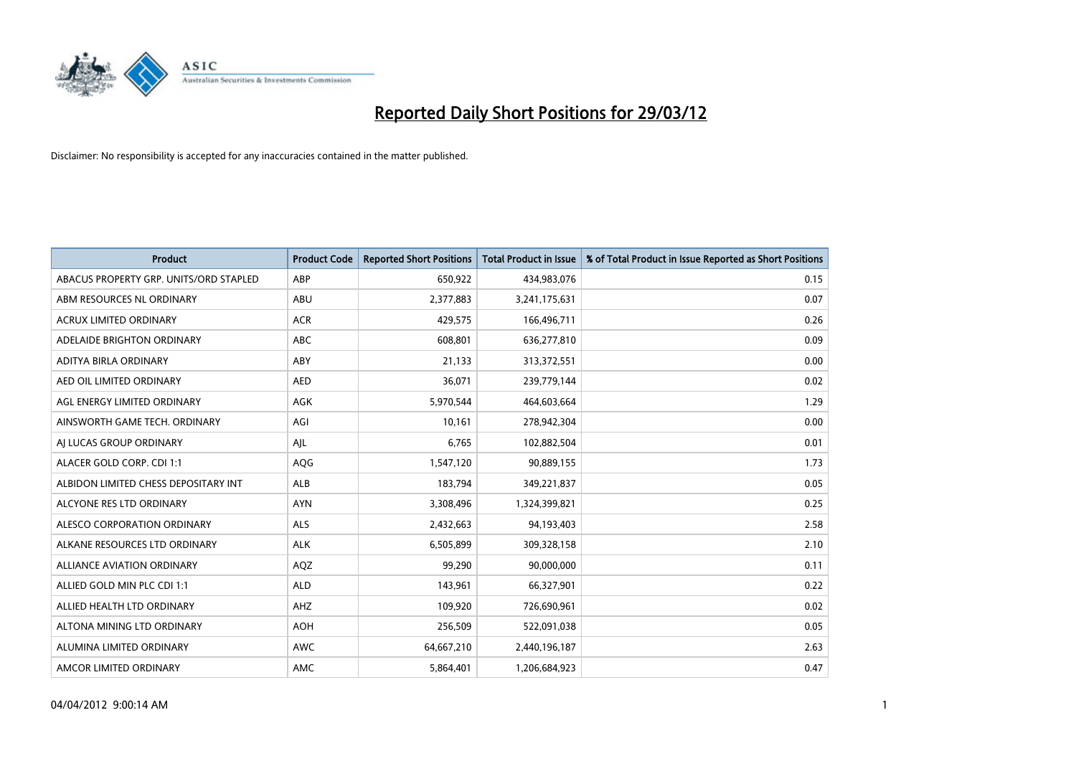

| <b>Product</b>                         | <b>Product Code</b> | <b>Reported Short Positions</b> | Total Product in Issue | % of Total Product in Issue Reported as Short Positions |
|----------------------------------------|---------------------|---------------------------------|------------------------|---------------------------------------------------------|
| ABACUS PROPERTY GRP. UNITS/ORD STAPLED | ABP                 | 650,922                         | 434,983,076            | 0.15                                                    |
| ABM RESOURCES NL ORDINARY              | ABU                 | 2,377,883                       | 3,241,175,631          | 0.07                                                    |
| <b>ACRUX LIMITED ORDINARY</b>          | <b>ACR</b>          | 429,575                         | 166,496,711            | 0.26                                                    |
| ADELAIDE BRIGHTON ORDINARY             | <b>ABC</b>          | 608,801                         | 636,277,810            | 0.09                                                    |
| ADITYA BIRLA ORDINARY                  | ABY                 | 21,133                          | 313,372,551            | 0.00                                                    |
| AED OIL LIMITED ORDINARY               | <b>AED</b>          | 36,071                          | 239,779,144            | 0.02                                                    |
| AGL ENERGY LIMITED ORDINARY            | AGK                 | 5,970,544                       | 464,603,664            | 1.29                                                    |
| AINSWORTH GAME TECH. ORDINARY          | AGI                 | 10.161                          | 278,942,304            | 0.00                                                    |
| AJ LUCAS GROUP ORDINARY                | AJL                 | 6,765                           | 102,882,504            | 0.01                                                    |
| ALACER GOLD CORP. CDI 1:1              | AQG                 | 1,547,120                       | 90,889,155             | 1.73                                                    |
| ALBIDON LIMITED CHESS DEPOSITARY INT   | <b>ALB</b>          | 183,794                         | 349,221,837            | 0.05                                                    |
| ALCYONE RES LTD ORDINARY               | <b>AYN</b>          | 3,308,496                       | 1,324,399,821          | 0.25                                                    |
| ALESCO CORPORATION ORDINARY            | <b>ALS</b>          | 2,432,663                       | 94,193,403             | 2.58                                                    |
| ALKANE RESOURCES LTD ORDINARY          | <b>ALK</b>          | 6,505,899                       | 309,328,158            | 2.10                                                    |
| <b>ALLIANCE AVIATION ORDINARY</b>      | AQZ                 | 99,290                          | 90,000,000             | 0.11                                                    |
| ALLIED GOLD MIN PLC CDI 1:1            | <b>ALD</b>          | 143,961                         | 66,327,901             | 0.22                                                    |
| ALLIED HEALTH LTD ORDINARY             | AHZ                 | 109,920                         | 726,690,961            | 0.02                                                    |
| ALTONA MINING LTD ORDINARY             | <b>AOH</b>          | 256,509                         | 522,091,038            | 0.05                                                    |
| ALUMINA LIMITED ORDINARY               | <b>AWC</b>          | 64,667,210                      | 2,440,196,187          | 2.63                                                    |
| AMCOR LIMITED ORDINARY                 | AMC                 | 5,864,401                       | 1,206,684,923          | 0.47                                                    |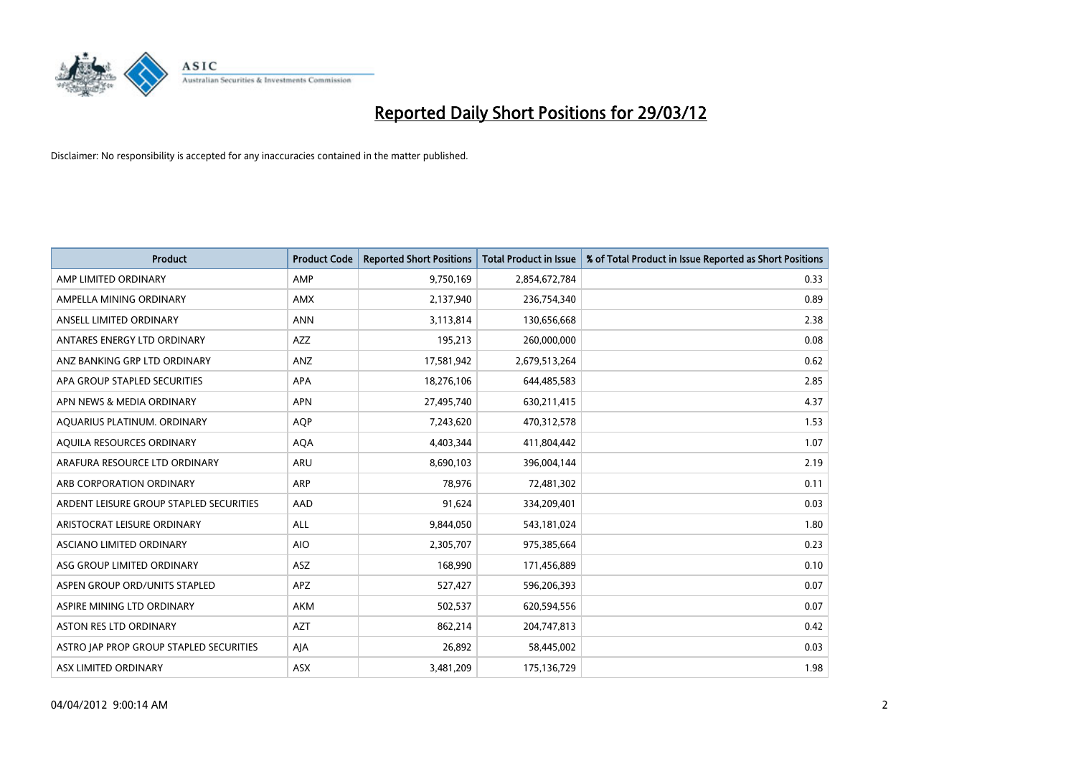

| <b>Product</b>                          | <b>Product Code</b> | <b>Reported Short Positions</b> | <b>Total Product in Issue</b> | % of Total Product in Issue Reported as Short Positions |
|-----------------------------------------|---------------------|---------------------------------|-------------------------------|---------------------------------------------------------|
| AMP LIMITED ORDINARY                    | AMP                 | 9,750,169                       | 2,854,672,784                 | 0.33                                                    |
| AMPELLA MINING ORDINARY                 | AMX                 | 2,137,940                       | 236,754,340                   | 0.89                                                    |
| ANSELL LIMITED ORDINARY                 | <b>ANN</b>          | 3,113,814                       | 130,656,668                   | 2.38                                                    |
| ANTARES ENERGY LTD ORDINARY             | AZZ                 | 195,213                         | 260,000,000                   | 0.08                                                    |
| ANZ BANKING GRP LTD ORDINARY            | ANZ                 | 17,581,942                      | 2,679,513,264                 | 0.62                                                    |
| APA GROUP STAPLED SECURITIES            | <b>APA</b>          | 18,276,106                      | 644,485,583                   | 2.85                                                    |
| APN NEWS & MEDIA ORDINARY               | <b>APN</b>          | 27,495,740                      | 630,211,415                   | 4.37                                                    |
| AQUARIUS PLATINUM. ORDINARY             | <b>AOP</b>          | 7,243,620                       | 470,312,578                   | 1.53                                                    |
| AQUILA RESOURCES ORDINARY               | <b>AQA</b>          | 4,403,344                       | 411,804,442                   | 1.07                                                    |
| ARAFURA RESOURCE LTD ORDINARY           | ARU                 | 8,690,103                       | 396,004,144                   | 2.19                                                    |
| ARB CORPORATION ORDINARY                | ARP                 | 78,976                          | 72,481,302                    | 0.11                                                    |
| ARDENT LEISURE GROUP STAPLED SECURITIES | AAD                 | 91,624                          | 334,209,401                   | 0.03                                                    |
| ARISTOCRAT LEISURE ORDINARY             | ALL                 | 9,844,050                       | 543,181,024                   | 1.80                                                    |
| ASCIANO LIMITED ORDINARY                | <b>AIO</b>          | 2,305,707                       | 975,385,664                   | 0.23                                                    |
| ASG GROUP LIMITED ORDINARY              | ASZ                 | 168,990                         | 171,456,889                   | 0.10                                                    |
| ASPEN GROUP ORD/UNITS STAPLED           | APZ                 | 527,427                         | 596,206,393                   | 0.07                                                    |
| ASPIRE MINING LTD ORDINARY              | AKM                 | 502,537                         | 620,594,556                   | 0.07                                                    |
| ASTON RES LTD ORDINARY                  | <b>AZT</b>          | 862,214                         | 204,747,813                   | 0.42                                                    |
| ASTRO JAP PROP GROUP STAPLED SECURITIES | AJA                 | 26,892                          | 58,445,002                    | 0.03                                                    |
| ASX LIMITED ORDINARY                    | ASX                 | 3,481,209                       | 175,136,729                   | 1.98                                                    |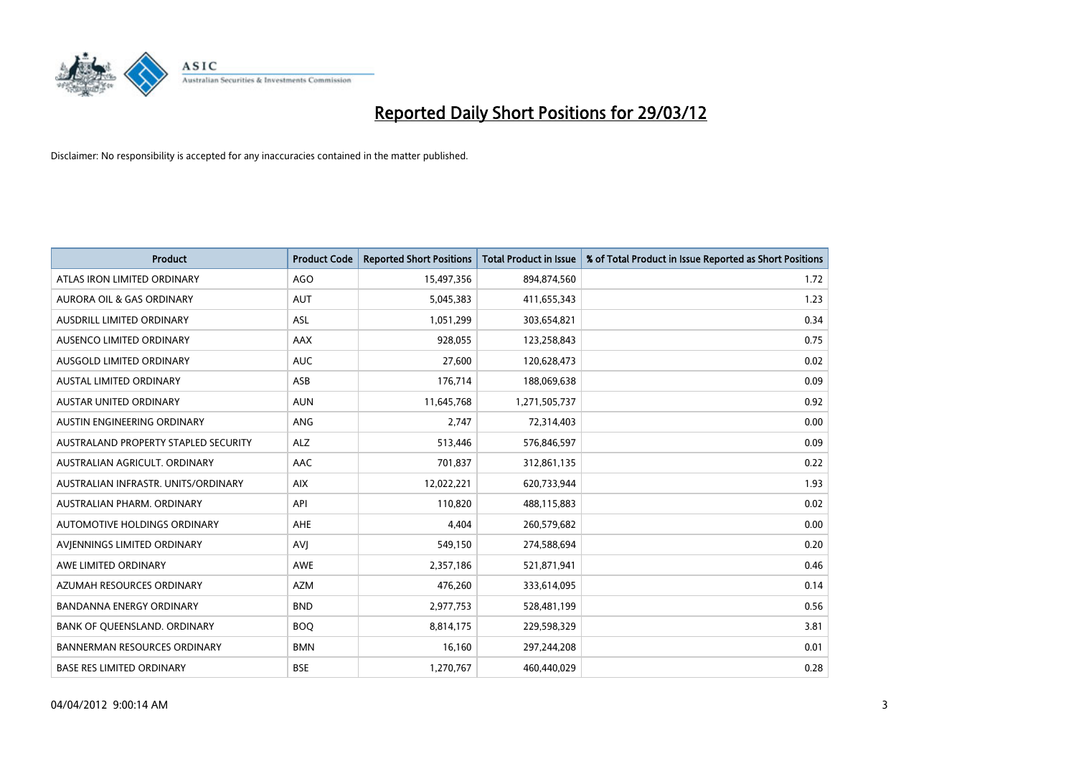

| <b>Product</b>                       | <b>Product Code</b> | <b>Reported Short Positions</b> | <b>Total Product in Issue</b> | % of Total Product in Issue Reported as Short Positions |
|--------------------------------------|---------------------|---------------------------------|-------------------------------|---------------------------------------------------------|
| ATLAS IRON LIMITED ORDINARY          | <b>AGO</b>          | 15,497,356                      | 894,874,560                   | 1.72                                                    |
| AURORA OIL & GAS ORDINARY            | <b>AUT</b>          | 5,045,383                       | 411,655,343                   | 1.23                                                    |
| AUSDRILL LIMITED ORDINARY            | ASL                 | 1,051,299                       | 303,654,821                   | 0.34                                                    |
| AUSENCO LIMITED ORDINARY             | AAX                 | 928,055                         | 123,258,843                   | 0.75                                                    |
| AUSGOLD LIMITED ORDINARY             | <b>AUC</b>          | 27,600                          | 120,628,473                   | 0.02                                                    |
| <b>AUSTAL LIMITED ORDINARY</b>       | ASB                 | 176,714                         | 188,069,638                   | 0.09                                                    |
| AUSTAR UNITED ORDINARY               | <b>AUN</b>          | 11,645,768                      | 1,271,505,737                 | 0.92                                                    |
| AUSTIN ENGINEERING ORDINARY          | ANG                 | 2,747                           | 72,314,403                    | 0.00                                                    |
| AUSTRALAND PROPERTY STAPLED SECURITY | <b>ALZ</b>          | 513,446                         | 576,846,597                   | 0.09                                                    |
| AUSTRALIAN AGRICULT, ORDINARY        | <b>AAC</b>          | 701,837                         | 312,861,135                   | 0.22                                                    |
| AUSTRALIAN INFRASTR. UNITS/ORDINARY  | <b>AIX</b>          | 12,022,221                      | 620,733,944                   | 1.93                                                    |
| AUSTRALIAN PHARM, ORDINARY           | API                 | 110,820                         | 488,115,883                   | 0.02                                                    |
| AUTOMOTIVE HOLDINGS ORDINARY         | AHE                 | 4,404                           | 260,579,682                   | 0.00                                                    |
| AVIENNINGS LIMITED ORDINARY          | <b>AVI</b>          | 549,150                         | 274,588,694                   | 0.20                                                    |
| AWE LIMITED ORDINARY                 | <b>AWE</b>          | 2,357,186                       | 521,871,941                   | 0.46                                                    |
| AZUMAH RESOURCES ORDINARY            | <b>AZM</b>          | 476,260                         | 333,614,095                   | 0.14                                                    |
| <b>BANDANNA ENERGY ORDINARY</b>      | <b>BND</b>          | 2,977,753                       | 528,481,199                   | 0.56                                                    |
| BANK OF QUEENSLAND. ORDINARY         | <b>BOO</b>          | 8,814,175                       | 229,598,329                   | 3.81                                                    |
| <b>BANNERMAN RESOURCES ORDINARY</b>  | <b>BMN</b>          | 16,160                          | 297,244,208                   | 0.01                                                    |
| <b>BASE RES LIMITED ORDINARY</b>     | <b>BSE</b>          | 1,270,767                       | 460,440,029                   | 0.28                                                    |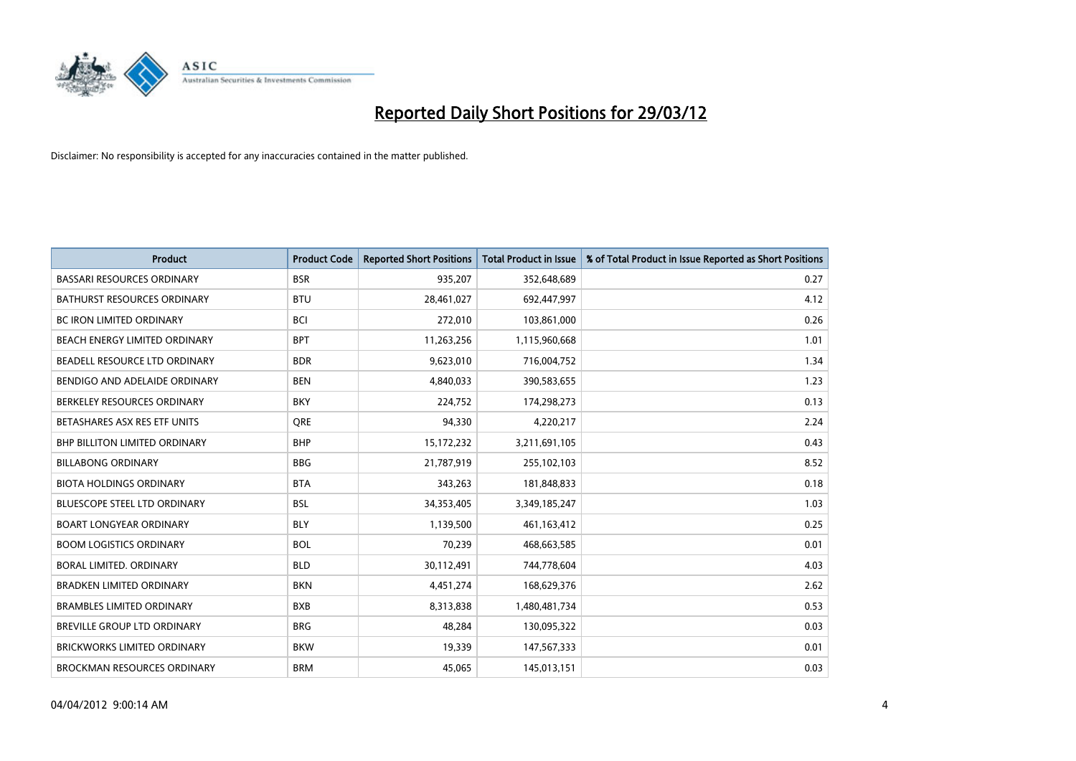

| <b>Product</b>                       | <b>Product Code</b> | <b>Reported Short Positions</b> | <b>Total Product in Issue</b> | % of Total Product in Issue Reported as Short Positions |
|--------------------------------------|---------------------|---------------------------------|-------------------------------|---------------------------------------------------------|
| <b>BASSARI RESOURCES ORDINARY</b>    | <b>BSR</b>          | 935,207                         | 352,648,689                   | 0.27                                                    |
| <b>BATHURST RESOURCES ORDINARY</b>   | <b>BTU</b>          | 28,461,027                      | 692,447,997                   | 4.12                                                    |
| <b>BC IRON LIMITED ORDINARY</b>      | <b>BCI</b>          | 272,010                         | 103,861,000                   | 0.26                                                    |
| BEACH ENERGY LIMITED ORDINARY        | <b>BPT</b>          | 11,263,256                      | 1,115,960,668                 | 1.01                                                    |
| BEADELL RESOURCE LTD ORDINARY        | <b>BDR</b>          | 9,623,010                       | 716,004,752                   | 1.34                                                    |
| BENDIGO AND ADELAIDE ORDINARY        | <b>BEN</b>          | 4,840,033                       | 390,583,655                   | 1.23                                                    |
| BERKELEY RESOURCES ORDINARY          | <b>BKY</b>          | 224,752                         | 174,298,273                   | 0.13                                                    |
| BETASHARES ASX RES ETF UNITS         | <b>ORE</b>          | 94,330                          | 4,220,217                     | 2.24                                                    |
| <b>BHP BILLITON LIMITED ORDINARY</b> | <b>BHP</b>          | 15,172,232                      | 3,211,691,105                 | 0.43                                                    |
| <b>BILLABONG ORDINARY</b>            | <b>BBG</b>          | 21,787,919                      | 255,102,103                   | 8.52                                                    |
| <b>BIOTA HOLDINGS ORDINARY</b>       | <b>BTA</b>          | 343,263                         | 181,848,833                   | 0.18                                                    |
| <b>BLUESCOPE STEEL LTD ORDINARY</b>  | <b>BSL</b>          | 34,353,405                      | 3,349,185,247                 | 1.03                                                    |
| <b>BOART LONGYEAR ORDINARY</b>       | <b>BLY</b>          | 1,139,500                       | 461,163,412                   | 0.25                                                    |
| <b>BOOM LOGISTICS ORDINARY</b>       | <b>BOL</b>          | 70,239                          | 468,663,585                   | 0.01                                                    |
| BORAL LIMITED, ORDINARY              | <b>BLD</b>          | 30,112,491                      | 744,778,604                   | 4.03                                                    |
| <b>BRADKEN LIMITED ORDINARY</b>      | <b>BKN</b>          | 4,451,274                       | 168,629,376                   | 2.62                                                    |
| <b>BRAMBLES LIMITED ORDINARY</b>     | <b>BXB</b>          | 8,313,838                       | 1,480,481,734                 | 0.53                                                    |
| BREVILLE GROUP LTD ORDINARY          | <b>BRG</b>          | 48,284                          | 130,095,322                   | 0.03                                                    |
| <b>BRICKWORKS LIMITED ORDINARY</b>   | <b>BKW</b>          | 19,339                          | 147,567,333                   | 0.01                                                    |
| <b>BROCKMAN RESOURCES ORDINARY</b>   | <b>BRM</b>          | 45,065                          | 145,013,151                   | 0.03                                                    |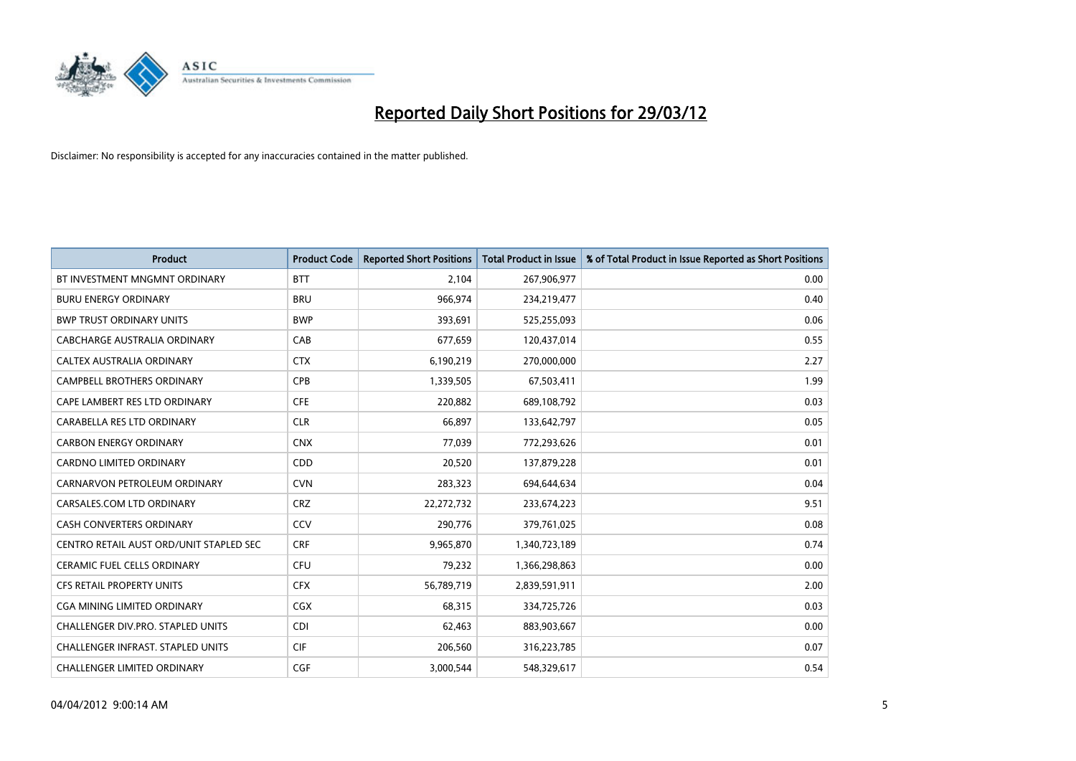

| <b>Product</b>                           | <b>Product Code</b> | <b>Reported Short Positions</b> | <b>Total Product in Issue</b> | % of Total Product in Issue Reported as Short Positions |
|------------------------------------------|---------------------|---------------------------------|-------------------------------|---------------------------------------------------------|
| BT INVESTMENT MNGMNT ORDINARY            | <b>BTT</b>          | 2,104                           | 267,906,977                   | 0.00                                                    |
| <b>BURU ENERGY ORDINARY</b>              | <b>BRU</b>          | 966,974                         | 234,219,477                   | 0.40                                                    |
| <b>BWP TRUST ORDINARY UNITS</b>          | <b>BWP</b>          | 393,691                         | 525,255,093                   | 0.06                                                    |
| CABCHARGE AUSTRALIA ORDINARY             | CAB                 | 677,659                         | 120,437,014                   | 0.55                                                    |
| CALTEX AUSTRALIA ORDINARY                | <b>CTX</b>          | 6,190,219                       | 270,000,000                   | 2.27                                                    |
| <b>CAMPBELL BROTHERS ORDINARY</b>        | CPB                 | 1,339,505                       | 67,503,411                    | 1.99                                                    |
| CAPE LAMBERT RES LTD ORDINARY            | <b>CFE</b>          | 220,882                         | 689,108,792                   | 0.03                                                    |
| CARABELLA RES LTD ORDINARY               | <b>CLR</b>          | 66,897                          | 133,642,797                   | 0.05                                                    |
| <b>CARBON ENERGY ORDINARY</b>            | <b>CNX</b>          | 77.039                          | 772,293,626                   | 0.01                                                    |
| <b>CARDNO LIMITED ORDINARY</b>           | CDD                 | 20,520                          | 137,879,228                   | 0.01                                                    |
| CARNARVON PETROLEUM ORDINARY             | <b>CVN</b>          | 283,323                         | 694,644,634                   | 0.04                                                    |
| CARSALES.COM LTD ORDINARY                | <b>CRZ</b>          | 22,272,732                      | 233,674,223                   | 9.51                                                    |
| CASH CONVERTERS ORDINARY                 | CCV                 | 290,776                         | 379,761,025                   | 0.08                                                    |
| CENTRO RETAIL AUST ORD/UNIT STAPLED SEC  | <b>CRF</b>          | 9,965,870                       | 1,340,723,189                 | 0.74                                                    |
| <b>CERAMIC FUEL CELLS ORDINARY</b>       | <b>CFU</b>          | 79,232                          | 1,366,298,863                 | 0.00                                                    |
| CFS RETAIL PROPERTY UNITS                | <b>CFX</b>          | 56,789,719                      | 2,839,591,911                 | 2.00                                                    |
| CGA MINING LIMITED ORDINARY              | <b>CGX</b>          | 68,315                          | 334,725,726                   | 0.03                                                    |
| CHALLENGER DIV.PRO. STAPLED UNITS        | <b>CDI</b>          | 62,463                          | 883,903,667                   | 0.00                                                    |
| <b>CHALLENGER INFRAST, STAPLED UNITS</b> | <b>CIF</b>          | 206,560                         | 316,223,785                   | 0.07                                                    |
| CHALLENGER LIMITED ORDINARY              | <b>CGF</b>          | 3,000,544                       | 548,329,617                   | 0.54                                                    |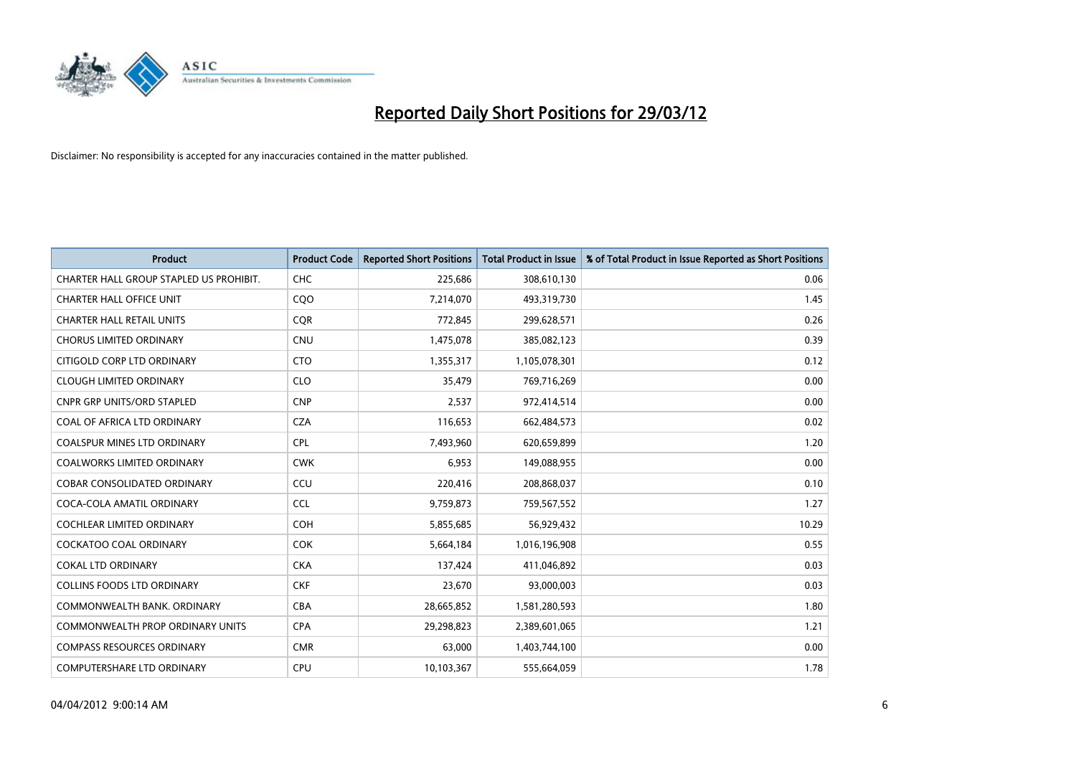

| <b>Product</b>                          | <b>Product Code</b> | <b>Reported Short Positions</b> | <b>Total Product in Issue</b> | % of Total Product in Issue Reported as Short Positions |
|-----------------------------------------|---------------------|---------------------------------|-------------------------------|---------------------------------------------------------|
| CHARTER HALL GROUP STAPLED US PROHIBIT. | <b>CHC</b>          | 225,686                         | 308,610,130                   | 0.06                                                    |
| <b>CHARTER HALL OFFICE UNIT</b>         | <b>COO</b>          | 7,214,070                       | 493,319,730                   | 1.45                                                    |
| <b>CHARTER HALL RETAIL UNITS</b>        | <b>CQR</b>          | 772,845                         | 299,628,571                   | 0.26                                                    |
| <b>CHORUS LIMITED ORDINARY</b>          | <b>CNU</b>          | 1,475,078                       | 385,082,123                   | 0.39                                                    |
| CITIGOLD CORP LTD ORDINARY              | <b>CTO</b>          | 1,355,317                       | 1,105,078,301                 | 0.12                                                    |
| <b>CLOUGH LIMITED ORDINARY</b>          | <b>CLO</b>          | 35,479                          | 769,716,269                   | 0.00                                                    |
| CNPR GRP UNITS/ORD STAPLED              | <b>CNP</b>          | 2,537                           | 972,414,514                   | 0.00                                                    |
| COAL OF AFRICA LTD ORDINARY             | <b>CZA</b>          | 116,653                         | 662,484,573                   | 0.02                                                    |
| <b>COALSPUR MINES LTD ORDINARY</b>      | <b>CPL</b>          | 7,493,960                       | 620,659,899                   | 1.20                                                    |
| <b>COALWORKS LIMITED ORDINARY</b>       | <b>CWK</b>          | 6,953                           | 149,088,955                   | 0.00                                                    |
| COBAR CONSOLIDATED ORDINARY             | CCU                 | 220,416                         | 208,868,037                   | 0.10                                                    |
| COCA-COLA AMATIL ORDINARY               | <b>CCL</b>          | 9,759,873                       | 759,567,552                   | 1.27                                                    |
| COCHLEAR LIMITED ORDINARY               | <b>COH</b>          | 5,855,685                       | 56,929,432                    | 10.29                                                   |
| <b>COCKATOO COAL ORDINARY</b>           | <b>COK</b>          | 5,664,184                       | 1,016,196,908                 | 0.55                                                    |
| <b>COKAL LTD ORDINARY</b>               | <b>CKA</b>          | 137,424                         | 411,046,892                   | 0.03                                                    |
| <b>COLLINS FOODS LTD ORDINARY</b>       | <b>CKF</b>          | 23,670                          | 93,000,003                    | 0.03                                                    |
| COMMONWEALTH BANK, ORDINARY             | <b>CBA</b>          | 28,665,852                      | 1,581,280,593                 | 1.80                                                    |
| <b>COMMONWEALTH PROP ORDINARY UNITS</b> | <b>CPA</b>          | 29,298,823                      | 2,389,601,065                 | 1.21                                                    |
| <b>COMPASS RESOURCES ORDINARY</b>       | <b>CMR</b>          | 63,000                          | 1,403,744,100                 | 0.00                                                    |
| COMPUTERSHARE LTD ORDINARY              | <b>CPU</b>          | 10,103,367                      | 555,664,059                   | 1.78                                                    |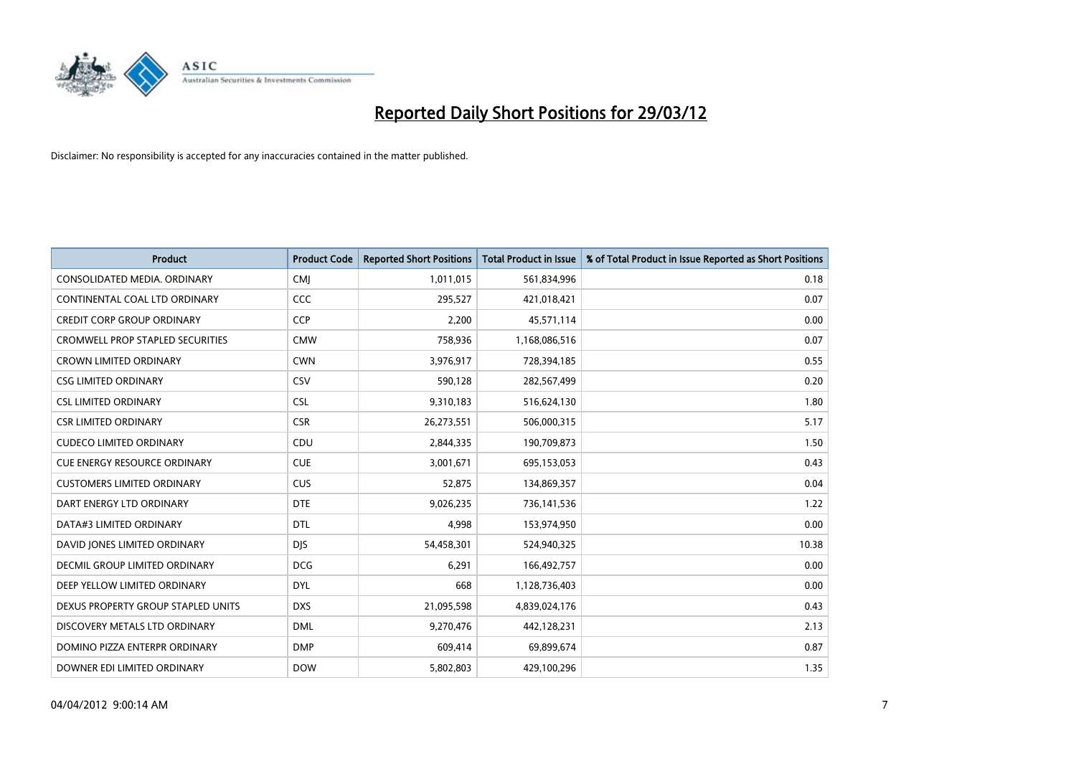

| <b>Product</b>                          | <b>Product Code</b> | <b>Reported Short Positions</b> | <b>Total Product in Issue</b> | % of Total Product in Issue Reported as Short Positions |
|-----------------------------------------|---------------------|---------------------------------|-------------------------------|---------------------------------------------------------|
| CONSOLIDATED MEDIA, ORDINARY            | <b>CMI</b>          | 1,011,015                       | 561,834,996                   | 0.18                                                    |
| CONTINENTAL COAL LTD ORDINARY           | CCC                 | 295,527                         | 421,018,421                   | 0.07                                                    |
| <b>CREDIT CORP GROUP ORDINARY</b>       | <b>CCP</b>          | 2,200                           | 45,571,114                    | 0.00                                                    |
| <b>CROMWELL PROP STAPLED SECURITIES</b> | <b>CMW</b>          | 758,936                         | 1,168,086,516                 | 0.07                                                    |
| <b>CROWN LIMITED ORDINARY</b>           | <b>CWN</b>          | 3,976,917                       | 728,394,185                   | 0.55                                                    |
| <b>CSG LIMITED ORDINARY</b>             | CSV                 | 590,128                         | 282,567,499                   | 0.20                                                    |
| <b>CSL LIMITED ORDINARY</b>             | <b>CSL</b>          | 9,310,183                       | 516,624,130                   | 1.80                                                    |
| <b>CSR LIMITED ORDINARY</b>             | <b>CSR</b>          | 26,273,551                      | 506,000,315                   | 5.17                                                    |
| <b>CUDECO LIMITED ORDINARY</b>          | CDU                 | 2,844,335                       | 190,709,873                   | 1.50                                                    |
| <b>CUE ENERGY RESOURCE ORDINARY</b>     | <b>CUE</b>          | 3,001,671                       | 695,153,053                   | 0.43                                                    |
| <b>CUSTOMERS LIMITED ORDINARY</b>       | <b>CUS</b>          | 52,875                          | 134,869,357                   | 0.04                                                    |
| DART ENERGY LTD ORDINARY                | <b>DTE</b>          | 9,026,235                       | 736,141,536                   | 1.22                                                    |
| DATA#3 LIMITED ORDINARY                 | <b>DTL</b>          | 4,998                           | 153,974,950                   | 0.00                                                    |
| DAVID JONES LIMITED ORDINARY            | <b>DJS</b>          | 54,458,301                      | 524,940,325                   | 10.38                                                   |
| <b>DECMIL GROUP LIMITED ORDINARY</b>    | <b>DCG</b>          | 6,291                           | 166,492,757                   | 0.00                                                    |
| DEEP YELLOW LIMITED ORDINARY            | DYL                 | 668                             | 1,128,736,403                 | 0.00                                                    |
| DEXUS PROPERTY GROUP STAPLED UNITS      | <b>DXS</b>          | 21,095,598                      | 4,839,024,176                 | 0.43                                                    |
| DISCOVERY METALS LTD ORDINARY           | <b>DML</b>          | 9,270,476                       | 442,128,231                   | 2.13                                                    |
| DOMINO PIZZA ENTERPR ORDINARY           | <b>DMP</b>          | 609,414                         | 69,899,674                    | 0.87                                                    |
| DOWNER EDI LIMITED ORDINARY             | <b>DOW</b>          | 5,802,803                       | 429,100,296                   | 1.35                                                    |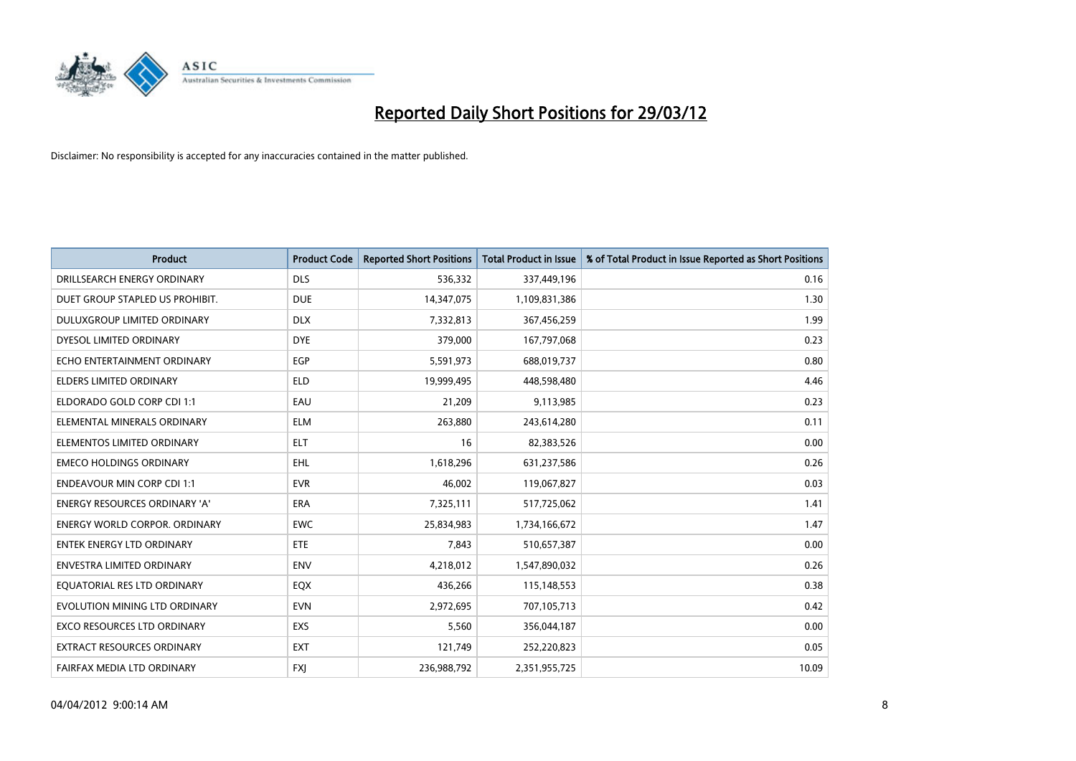

| <b>Product</b>                       | <b>Product Code</b> | <b>Reported Short Positions</b> | <b>Total Product in Issue</b> | % of Total Product in Issue Reported as Short Positions |
|--------------------------------------|---------------------|---------------------------------|-------------------------------|---------------------------------------------------------|
| DRILLSEARCH ENERGY ORDINARY          | <b>DLS</b>          | 536,332                         | 337,449,196                   | 0.16                                                    |
| DUET GROUP STAPLED US PROHIBIT.      | <b>DUE</b>          | 14,347,075                      | 1,109,831,386                 | 1.30                                                    |
| DULUXGROUP LIMITED ORDINARY          | <b>DLX</b>          | 7,332,813                       | 367,456,259                   | 1.99                                                    |
| DYESOL LIMITED ORDINARY              | <b>DYE</b>          | 379,000                         | 167,797,068                   | 0.23                                                    |
| ECHO ENTERTAINMENT ORDINARY          | <b>EGP</b>          | 5,591,973                       | 688,019,737                   | 0.80                                                    |
| <b>ELDERS LIMITED ORDINARY</b>       | <b>ELD</b>          | 19,999,495                      | 448,598,480                   | 4.46                                                    |
| ELDORADO GOLD CORP CDI 1:1           | EAU                 | 21,209                          | 9,113,985                     | 0.23                                                    |
| ELEMENTAL MINERALS ORDINARY          | <b>ELM</b>          | 263,880                         | 243,614,280                   | 0.11                                                    |
| ELEMENTOS LIMITED ORDINARY           | <b>ELT</b>          | 16                              | 82,383,526                    | 0.00                                                    |
| <b>EMECO HOLDINGS ORDINARY</b>       | <b>EHL</b>          | 1,618,296                       | 631,237,586                   | 0.26                                                    |
| <b>ENDEAVOUR MIN CORP CDI 1:1</b>    | <b>EVR</b>          | 46,002                          | 119,067,827                   | 0.03                                                    |
| ENERGY RESOURCES ORDINARY 'A'        | ERA                 | 7,325,111                       | 517,725,062                   | 1.41                                                    |
| <b>ENERGY WORLD CORPOR, ORDINARY</b> | <b>EWC</b>          | 25,834,983                      | 1,734,166,672                 | 1.47                                                    |
| <b>ENTEK ENERGY LTD ORDINARY</b>     | <b>ETE</b>          | 7,843                           | 510,657,387                   | 0.00                                                    |
| <b>ENVESTRA LIMITED ORDINARY</b>     | <b>ENV</b>          | 4,218,012                       | 1,547,890,032                 | 0.26                                                    |
| EQUATORIAL RES LTD ORDINARY          | EQX                 | 436,266                         | 115,148,553                   | 0.38                                                    |
| EVOLUTION MINING LTD ORDINARY        | <b>EVN</b>          | 2,972,695                       | 707,105,713                   | 0.42                                                    |
| EXCO RESOURCES LTD ORDINARY          | <b>EXS</b>          | 5,560                           | 356,044,187                   | 0.00                                                    |
| <b>EXTRACT RESOURCES ORDINARY</b>    | <b>EXT</b>          | 121,749                         | 252,220,823                   | 0.05                                                    |
| FAIRFAX MEDIA LTD ORDINARY           | <b>FXJ</b>          | 236,988,792                     | 2,351,955,725                 | 10.09                                                   |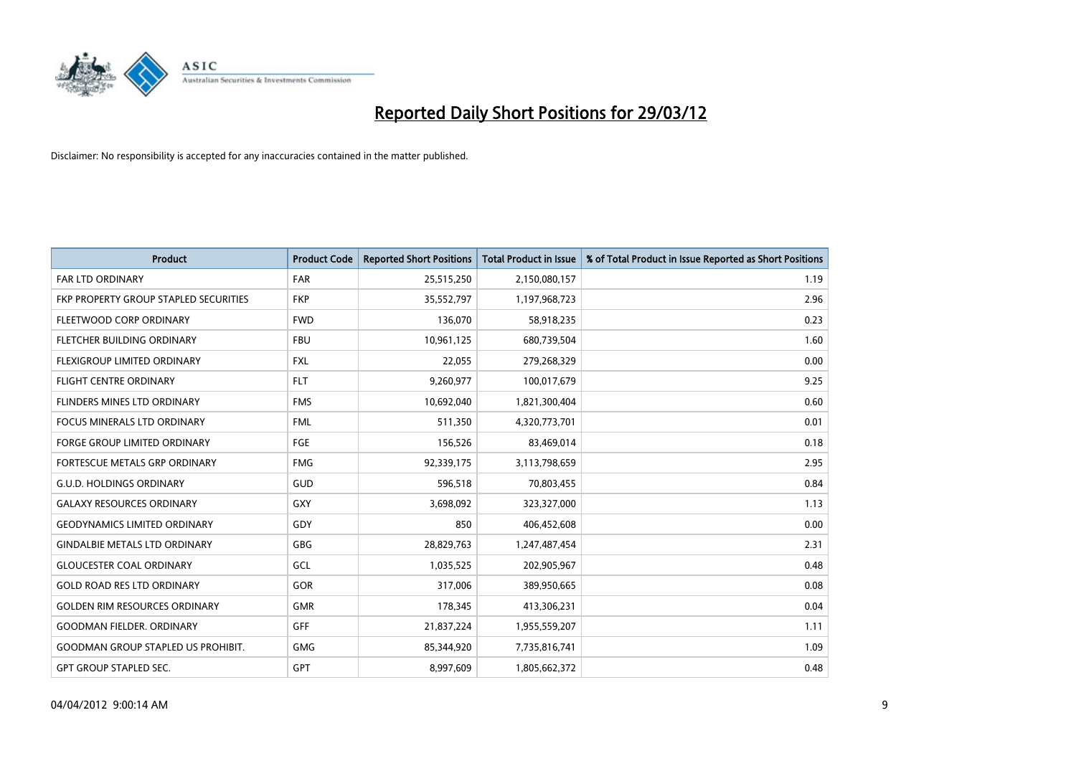

| <b>Product</b>                            | <b>Product Code</b> | <b>Reported Short Positions</b> | <b>Total Product in Issue</b> | % of Total Product in Issue Reported as Short Positions |
|-------------------------------------------|---------------------|---------------------------------|-------------------------------|---------------------------------------------------------|
| <b>FAR LTD ORDINARY</b>                   | <b>FAR</b>          | 25,515,250                      | 2,150,080,157                 | 1.19                                                    |
| FKP PROPERTY GROUP STAPLED SECURITIES     | <b>FKP</b>          | 35,552,797                      | 1,197,968,723                 | 2.96                                                    |
| FLEETWOOD CORP ORDINARY                   | <b>FWD</b>          | 136,070                         | 58,918,235                    | 0.23                                                    |
| FLETCHER BUILDING ORDINARY                | <b>FBU</b>          | 10,961,125                      | 680,739,504                   | 1.60                                                    |
| FLEXIGROUP LIMITED ORDINARY               | <b>FXL</b>          | 22,055                          | 279,268,329                   | 0.00                                                    |
| <b>FLIGHT CENTRE ORDINARY</b>             | <b>FLT</b>          | 9,260,977                       | 100,017,679                   | 9.25                                                    |
| FLINDERS MINES LTD ORDINARY               | <b>FMS</b>          | 10,692,040                      | 1,821,300,404                 | 0.60                                                    |
| FOCUS MINERALS LTD ORDINARY               | <b>FML</b>          | 511,350                         | 4,320,773,701                 | 0.01                                                    |
| FORGE GROUP LIMITED ORDINARY              | FGE                 | 156,526                         | 83,469,014                    | 0.18                                                    |
| FORTESCUE METALS GRP ORDINARY             | <b>FMG</b>          | 92,339,175                      | 3,113,798,659                 | 2.95                                                    |
| <b>G.U.D. HOLDINGS ORDINARY</b>           | GUD                 | 596,518                         | 70,803,455                    | 0.84                                                    |
| <b>GALAXY RESOURCES ORDINARY</b>          | GXY                 | 3,698,092                       | 323,327,000                   | 1.13                                                    |
| <b>GEODYNAMICS LIMITED ORDINARY</b>       | GDY                 | 850                             | 406,452,608                   | 0.00                                                    |
| <b>GINDALBIE METALS LTD ORDINARY</b>      | GBG                 | 28,829,763                      | 1,247,487,454                 | 2.31                                                    |
| <b>GLOUCESTER COAL ORDINARY</b>           | GCL                 | 1,035,525                       | 202,905,967                   | 0.48                                                    |
| <b>GOLD ROAD RES LTD ORDINARY</b>         | GOR                 | 317,006                         | 389,950,665                   | 0.08                                                    |
| <b>GOLDEN RIM RESOURCES ORDINARY</b>      | <b>GMR</b>          | 178,345                         | 413,306,231                   | 0.04                                                    |
| <b>GOODMAN FIELDER, ORDINARY</b>          | <b>GFF</b>          | 21,837,224                      | 1,955,559,207                 | 1.11                                                    |
| <b>GOODMAN GROUP STAPLED US PROHIBIT.</b> | <b>GMG</b>          | 85,344,920                      | 7,735,816,741                 | 1.09                                                    |
| <b>GPT GROUP STAPLED SEC.</b>             | <b>GPT</b>          | 8,997,609                       | 1,805,662,372                 | 0.48                                                    |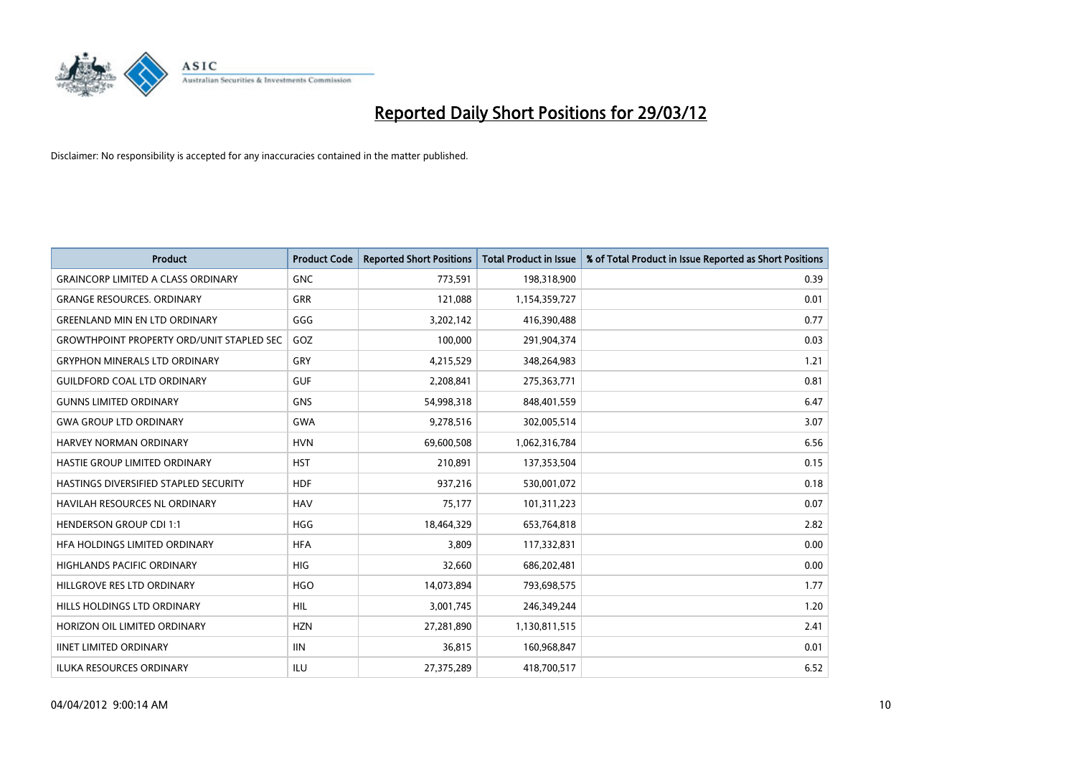

| <b>Product</b>                                   | <b>Product Code</b> | <b>Reported Short Positions</b> | <b>Total Product in Issue</b> | % of Total Product in Issue Reported as Short Positions |
|--------------------------------------------------|---------------------|---------------------------------|-------------------------------|---------------------------------------------------------|
| <b>GRAINCORP LIMITED A CLASS ORDINARY</b>        | <b>GNC</b>          | 773,591                         | 198,318,900                   | 0.39                                                    |
| <b>GRANGE RESOURCES. ORDINARY</b>                | GRR                 | 121,088                         | 1,154,359,727                 | 0.01                                                    |
| <b>GREENLAND MIN EN LTD ORDINARY</b>             | GGG                 | 3,202,142                       | 416,390,488                   | 0.77                                                    |
| <b>GROWTHPOINT PROPERTY ORD/UNIT STAPLED SEC</b> | GOZ                 | 100,000                         | 291,904,374                   | 0.03                                                    |
| <b>GRYPHON MINERALS LTD ORDINARY</b>             | GRY                 | 4,215,529                       | 348,264,983                   | 1.21                                                    |
| <b>GUILDFORD COAL LTD ORDINARY</b>               | <b>GUF</b>          | 2,208,841                       | 275,363,771                   | 0.81                                                    |
| <b>GUNNS LIMITED ORDINARY</b>                    | <b>GNS</b>          | 54,998,318                      | 848,401,559                   | 6.47                                                    |
| <b>GWA GROUP LTD ORDINARY</b>                    | <b>GWA</b>          | 9,278,516                       | 302,005,514                   | 3.07                                                    |
| <b>HARVEY NORMAN ORDINARY</b>                    | <b>HVN</b>          | 69,600,508                      | 1,062,316,784                 | 6.56                                                    |
| HASTIE GROUP LIMITED ORDINARY                    | <b>HST</b>          | 210,891                         | 137,353,504                   | 0.15                                                    |
| HASTINGS DIVERSIFIED STAPLED SECURITY            | <b>HDF</b>          | 937,216                         | 530,001,072                   | 0.18                                                    |
| <b>HAVILAH RESOURCES NL ORDINARY</b>             | <b>HAV</b>          | 75,177                          | 101,311,223                   | 0.07                                                    |
| <b>HENDERSON GROUP CDI 1:1</b>                   | <b>HGG</b>          | 18,464,329                      | 653,764,818                   | 2.82                                                    |
| HFA HOLDINGS LIMITED ORDINARY                    | <b>HFA</b>          | 3,809                           | 117,332,831                   | 0.00                                                    |
| <b>HIGHLANDS PACIFIC ORDINARY</b>                | <b>HIG</b>          | 32,660                          | 686,202,481                   | 0.00                                                    |
| HILLGROVE RES LTD ORDINARY                       | <b>HGO</b>          | 14,073,894                      | 793,698,575                   | 1.77                                                    |
| HILLS HOLDINGS LTD ORDINARY                      | HIL                 | 3,001,745                       | 246,349,244                   | 1.20                                                    |
| HORIZON OIL LIMITED ORDINARY                     | <b>HZN</b>          | 27,281,890                      | 1,130,811,515                 | 2.41                                                    |
| <b>IINET LIMITED ORDINARY</b>                    | <b>IIN</b>          | 36,815                          | 160,968,847                   | 0.01                                                    |
| ILUKA RESOURCES ORDINARY                         | ILU                 | 27,375,289                      | 418,700,517                   | 6.52                                                    |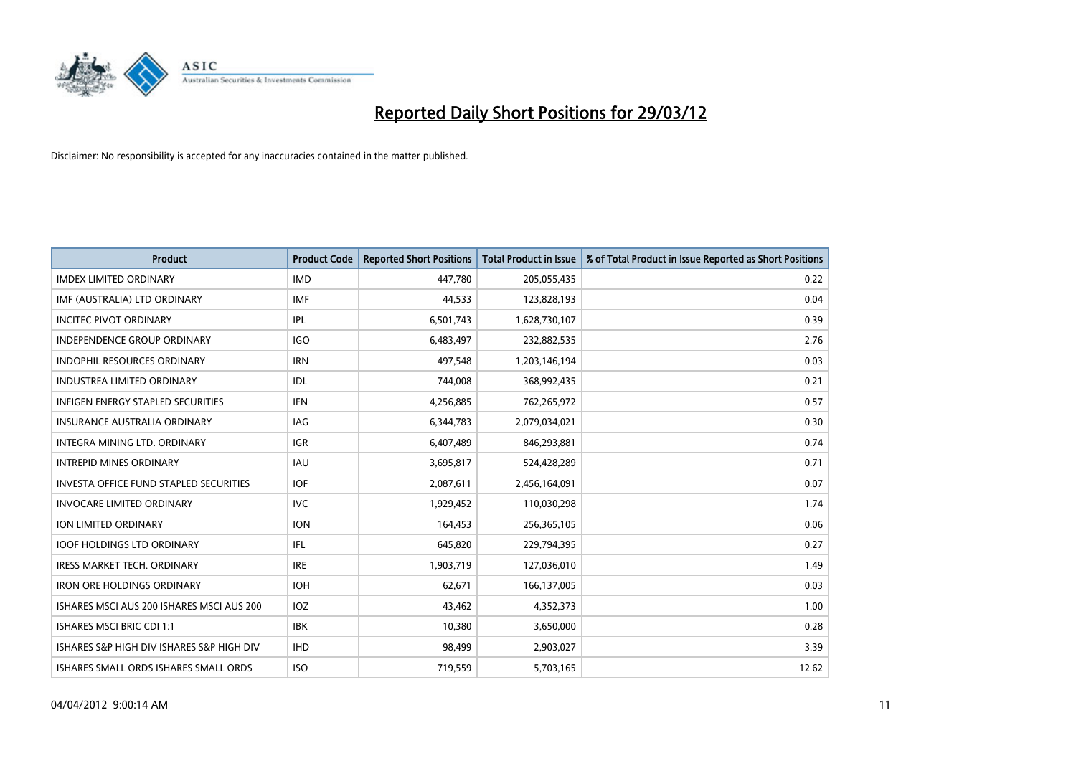

| <b>Product</b>                            | <b>Product Code</b> | <b>Reported Short Positions</b> | <b>Total Product in Issue</b> | % of Total Product in Issue Reported as Short Positions |
|-------------------------------------------|---------------------|---------------------------------|-------------------------------|---------------------------------------------------------|
| <b>IMDEX LIMITED ORDINARY</b>             | <b>IMD</b>          | 447,780                         | 205,055,435                   | 0.22                                                    |
| IMF (AUSTRALIA) LTD ORDINARY              | <b>IMF</b>          | 44,533                          | 123,828,193                   | 0.04                                                    |
| <b>INCITEC PIVOT ORDINARY</b>             | IPL                 | 6,501,743                       | 1,628,730,107                 | 0.39                                                    |
| INDEPENDENCE GROUP ORDINARY               | <b>IGO</b>          | 6,483,497                       | 232,882,535                   | 2.76                                                    |
| <b>INDOPHIL RESOURCES ORDINARY</b>        | <b>IRN</b>          | 497,548                         | 1,203,146,194                 | 0.03                                                    |
| <b>INDUSTREA LIMITED ORDINARY</b>         | <b>IDL</b>          | 744,008                         | 368,992,435                   | 0.21                                                    |
| <b>INFIGEN ENERGY STAPLED SECURITIES</b>  | <b>IFN</b>          | 4,256,885                       | 762,265,972                   | 0.57                                                    |
| <b>INSURANCE AUSTRALIA ORDINARY</b>       | IAG                 | 6,344,783                       | 2,079,034,021                 | 0.30                                                    |
| INTEGRA MINING LTD. ORDINARY              | IGR                 | 6,407,489                       | 846,293,881                   | 0.74                                                    |
| <b>INTREPID MINES ORDINARY</b>            | <b>IAU</b>          | 3,695,817                       | 524,428,289                   | 0.71                                                    |
| INVESTA OFFICE FUND STAPLED SECURITIES    | <b>IOF</b>          | 2,087,611                       | 2,456,164,091                 | 0.07                                                    |
| <b>INVOCARE LIMITED ORDINARY</b>          | <b>IVC</b>          | 1,929,452                       | 110,030,298                   | 1.74                                                    |
| ION LIMITED ORDINARY                      | <b>ION</b>          | 164,453                         | 256,365,105                   | 0.06                                                    |
| <b>IOOF HOLDINGS LTD ORDINARY</b>         | IFL                 | 645,820                         | 229,794,395                   | 0.27                                                    |
| <b>IRESS MARKET TECH. ORDINARY</b>        | <b>IRE</b>          | 1,903,719                       | 127,036,010                   | 1.49                                                    |
| <b>IRON ORE HOLDINGS ORDINARY</b>         | <b>IOH</b>          | 62,671                          | 166,137,005                   | 0.03                                                    |
| ISHARES MSCI AUS 200 ISHARES MSCI AUS 200 | <b>IOZ</b>          | 43,462                          | 4,352,373                     | 1.00                                                    |
| <b>ISHARES MSCI BRIC CDI 1:1</b>          | IBK                 | 10,380                          | 3,650,000                     | 0.28                                                    |
| ISHARES S&P HIGH DIV ISHARES S&P HIGH DIV | <b>IHD</b>          | 98,499                          | 2,903,027                     | 3.39                                                    |
| ISHARES SMALL ORDS ISHARES SMALL ORDS     | <b>ISO</b>          | 719,559                         | 5,703,165                     | 12.62                                                   |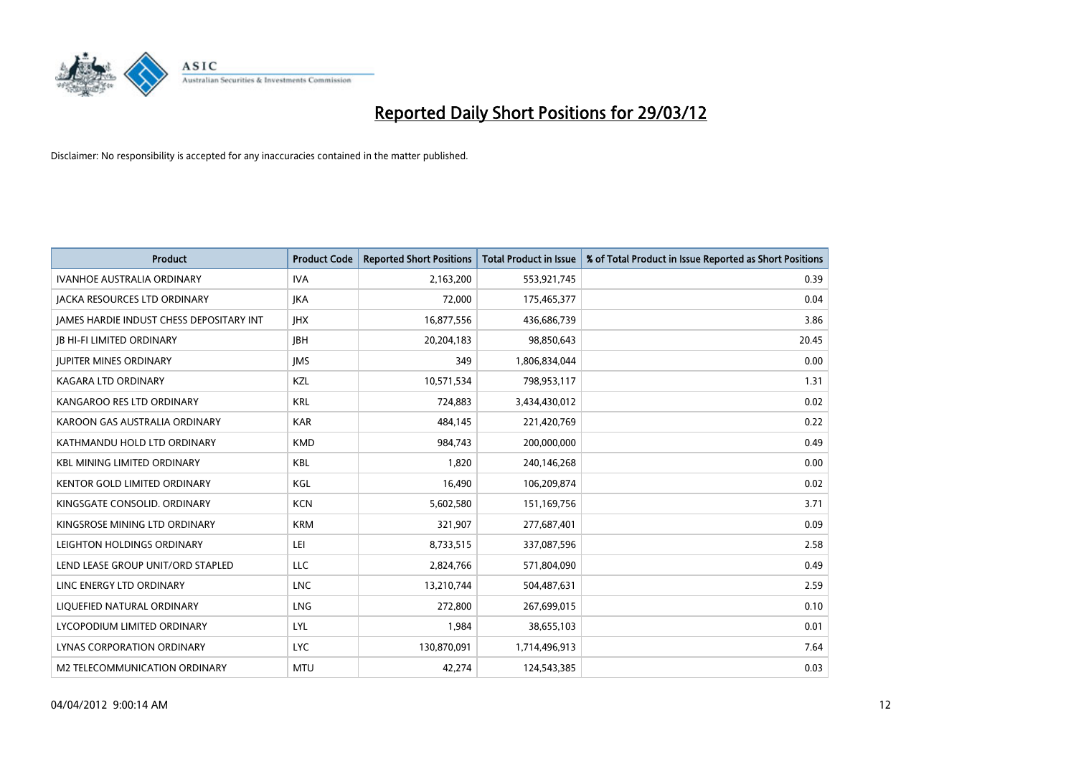

| <b>Product</b>                           | <b>Product Code</b> | <b>Reported Short Positions</b> | <b>Total Product in Issue</b> | % of Total Product in Issue Reported as Short Positions |
|------------------------------------------|---------------------|---------------------------------|-------------------------------|---------------------------------------------------------|
| <b>IVANHOE AUSTRALIA ORDINARY</b>        | <b>IVA</b>          | 2,163,200                       | 553,921,745                   | 0.39                                                    |
| JACKA RESOURCES LTD ORDINARY             | <b>JKA</b>          | 72,000                          | 175,465,377                   | 0.04                                                    |
| JAMES HARDIE INDUST CHESS DEPOSITARY INT | <b>IHX</b>          | 16,877,556                      | 436,686,739                   | 3.86                                                    |
| <b>JB HI-FI LIMITED ORDINARY</b>         | <b>JBH</b>          | 20,204,183                      | 98,850,643                    | 20.45                                                   |
| <b>JUPITER MINES ORDINARY</b>            | <b>IMS</b>          | 349                             | 1,806,834,044                 | 0.00                                                    |
| <b>KAGARA LTD ORDINARY</b>               | KZL                 | 10,571,534                      | 798,953,117                   | 1.31                                                    |
| KANGAROO RES LTD ORDINARY                | <b>KRL</b>          | 724,883                         | 3,434,430,012                 | 0.02                                                    |
| KAROON GAS AUSTRALIA ORDINARY            | <b>KAR</b>          | 484,145                         | 221,420,769                   | 0.22                                                    |
| KATHMANDU HOLD LTD ORDINARY              | <b>KMD</b>          | 984,743                         | 200,000,000                   | 0.49                                                    |
| <b>KBL MINING LIMITED ORDINARY</b>       | <b>KBL</b>          | 1,820                           | 240,146,268                   | 0.00                                                    |
| KENTOR GOLD LIMITED ORDINARY             | KGL                 | 16,490                          | 106,209,874                   | 0.02                                                    |
| KINGSGATE CONSOLID. ORDINARY             | <b>KCN</b>          | 5,602,580                       | 151,169,756                   | 3.71                                                    |
| KINGSROSE MINING LTD ORDINARY            | <b>KRM</b>          | 321,907                         | 277,687,401                   | 0.09                                                    |
| LEIGHTON HOLDINGS ORDINARY               | LEI                 | 8,733,515                       | 337,087,596                   | 2.58                                                    |
| LEND LEASE GROUP UNIT/ORD STAPLED        | <b>LLC</b>          | 2,824,766                       | 571,804,090                   | 0.49                                                    |
| LINC ENERGY LTD ORDINARY                 | <b>LNC</b>          | 13,210,744                      | 504,487,631                   | 2.59                                                    |
| LIQUEFIED NATURAL ORDINARY               | LNG                 | 272,800                         | 267,699,015                   | 0.10                                                    |
| LYCOPODIUM LIMITED ORDINARY              | <b>LYL</b>          | 1,984                           | 38,655,103                    | 0.01                                                    |
| LYNAS CORPORATION ORDINARY               | <b>LYC</b>          | 130,870,091                     | 1,714,496,913                 | 7.64                                                    |
| M2 TELECOMMUNICATION ORDINARY            | <b>MTU</b>          | 42,274                          | 124,543,385                   | 0.03                                                    |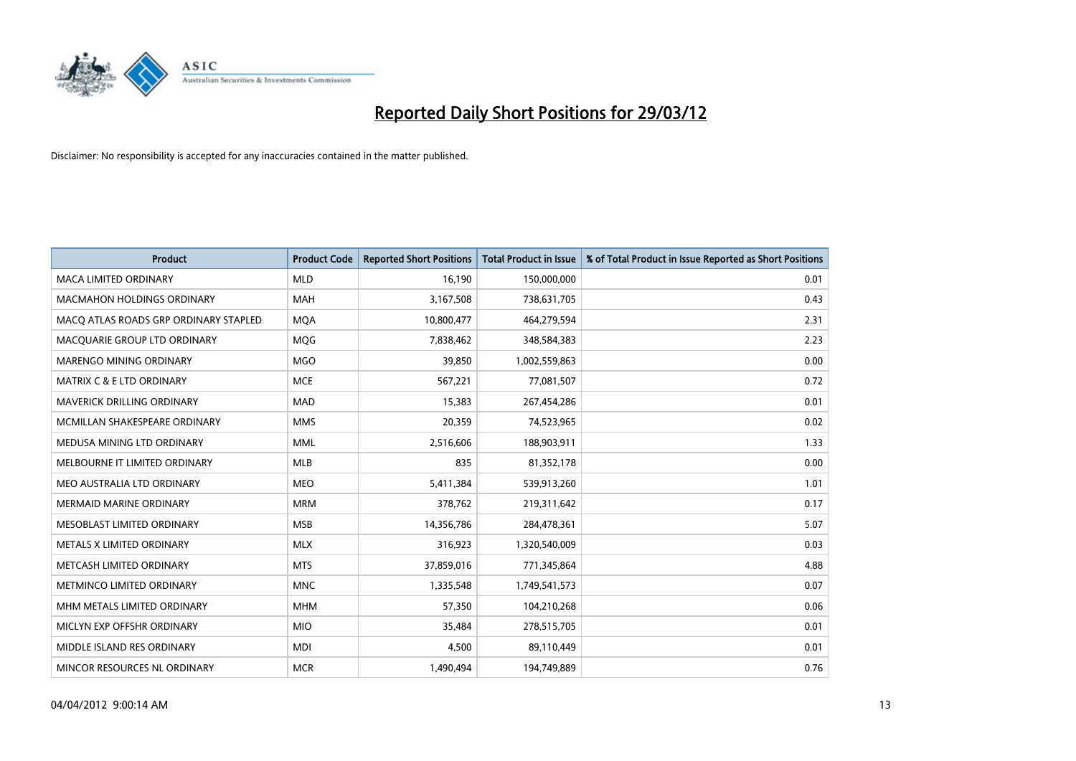

| <b>Product</b>                        | <b>Product Code</b> | <b>Reported Short Positions</b> | <b>Total Product in Issue</b> | % of Total Product in Issue Reported as Short Positions |
|---------------------------------------|---------------------|---------------------------------|-------------------------------|---------------------------------------------------------|
| <b>MACA LIMITED ORDINARY</b>          | <b>MLD</b>          | 16,190                          | 150,000,000                   | 0.01                                                    |
| <b>MACMAHON HOLDINGS ORDINARY</b>     | MAH                 | 3,167,508                       | 738,631,705                   | 0.43                                                    |
| MACO ATLAS ROADS GRP ORDINARY STAPLED | <b>MOA</b>          | 10,800,477                      | 464,279,594                   | 2.31                                                    |
| MACQUARIE GROUP LTD ORDINARY          | <b>MQG</b>          | 7,838,462                       | 348,584,383                   | 2.23                                                    |
| MARENGO MINING ORDINARY               | <b>MGO</b>          | 39,850                          | 1,002,559,863                 | 0.00                                                    |
| <b>MATRIX C &amp; E LTD ORDINARY</b>  | <b>MCE</b>          | 567,221                         | 77,081,507                    | 0.72                                                    |
| <b>MAVERICK DRILLING ORDINARY</b>     | <b>MAD</b>          | 15,383                          | 267,454,286                   | 0.01                                                    |
| MCMILLAN SHAKESPEARE ORDINARY         | <b>MMS</b>          | 20,359                          | 74,523,965                    | 0.02                                                    |
| MEDUSA MINING LTD ORDINARY            | <b>MML</b>          | 2,516,606                       | 188,903,911                   | 1.33                                                    |
| MELBOURNE IT LIMITED ORDINARY         | <b>MLB</b>          | 835                             | 81,352,178                    | 0.00                                                    |
| MEO AUSTRALIA LTD ORDINARY            | <b>MEO</b>          | 5,411,384                       | 539,913,260                   | 1.01                                                    |
| <b>MERMAID MARINE ORDINARY</b>        | <b>MRM</b>          | 378,762                         | 219,311,642                   | 0.17                                                    |
| MESOBLAST LIMITED ORDINARY            | <b>MSB</b>          | 14,356,786                      | 284,478,361                   | 5.07                                                    |
| METALS X LIMITED ORDINARY             | <b>MLX</b>          | 316,923                         | 1,320,540,009                 | 0.03                                                    |
| METCASH LIMITED ORDINARY              | <b>MTS</b>          | 37,859,016                      | 771,345,864                   | 4.88                                                    |
| METMINCO LIMITED ORDINARY             | <b>MNC</b>          | 1,335,548                       | 1,749,541,573                 | 0.07                                                    |
| MHM METALS LIMITED ORDINARY           | <b>MHM</b>          | 57,350                          | 104,210,268                   | 0.06                                                    |
| MICLYN EXP OFFSHR ORDINARY            | <b>MIO</b>          | 35,484                          | 278,515,705                   | 0.01                                                    |
| MIDDLE ISLAND RES ORDINARY            | <b>MDI</b>          | 4,500                           | 89,110,449                    | 0.01                                                    |
| MINCOR RESOURCES NL ORDINARY          | <b>MCR</b>          | 1,490,494                       | 194,749,889                   | 0.76                                                    |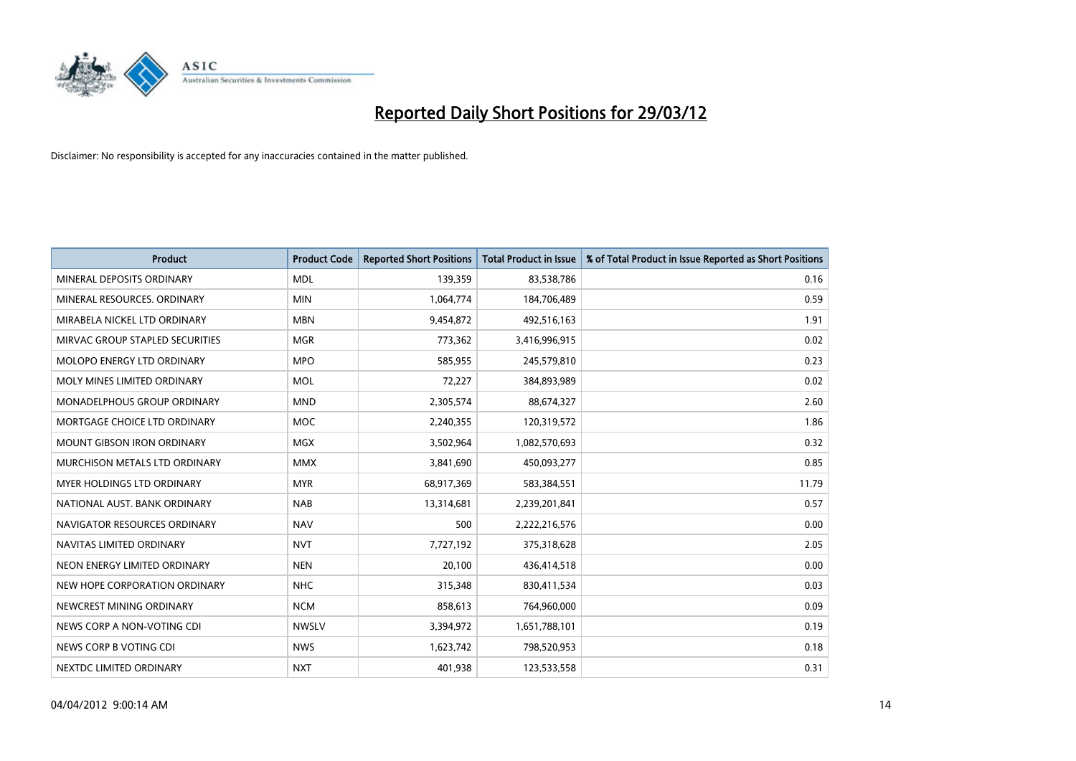

| <b>Product</b>                    | <b>Product Code</b> | <b>Reported Short Positions</b> | <b>Total Product in Issue</b> | % of Total Product in Issue Reported as Short Positions |
|-----------------------------------|---------------------|---------------------------------|-------------------------------|---------------------------------------------------------|
| MINERAL DEPOSITS ORDINARY         | <b>MDL</b>          | 139,359                         | 83,538,786                    | 0.16                                                    |
| MINERAL RESOURCES, ORDINARY       | <b>MIN</b>          | 1,064,774                       | 184,706,489                   | 0.59                                                    |
| MIRABELA NICKEL LTD ORDINARY      | <b>MBN</b>          | 9,454,872                       | 492,516,163                   | 1.91                                                    |
| MIRVAC GROUP STAPLED SECURITIES   | <b>MGR</b>          | 773,362                         | 3,416,996,915                 | 0.02                                                    |
| MOLOPO ENERGY LTD ORDINARY        | <b>MPO</b>          | 585,955                         | 245,579,810                   | 0.23                                                    |
| MOLY MINES LIMITED ORDINARY       | <b>MOL</b>          | 72,227                          | 384,893,989                   | 0.02                                                    |
| MONADELPHOUS GROUP ORDINARY       | <b>MND</b>          | 2,305,574                       | 88,674,327                    | 2.60                                                    |
| MORTGAGE CHOICE LTD ORDINARY      | <b>MOC</b>          | 2,240,355                       | 120,319,572                   | 1.86                                                    |
| <b>MOUNT GIBSON IRON ORDINARY</b> | <b>MGX</b>          | 3,502,964                       | 1,082,570,693                 | 0.32                                                    |
| MURCHISON METALS LTD ORDINARY     | <b>MMX</b>          | 3,841,690                       | 450,093,277                   | 0.85                                                    |
| MYER HOLDINGS LTD ORDINARY        | <b>MYR</b>          | 68,917,369                      | 583,384,551                   | 11.79                                                   |
| NATIONAL AUST. BANK ORDINARY      | <b>NAB</b>          | 13,314,681                      | 2,239,201,841                 | 0.57                                                    |
| NAVIGATOR RESOURCES ORDINARY      | <b>NAV</b>          | 500                             | 2,222,216,576                 | 0.00                                                    |
| NAVITAS LIMITED ORDINARY          | <b>NVT</b>          | 7,727,192                       | 375,318,628                   | 2.05                                                    |
| NEON ENERGY LIMITED ORDINARY      | <b>NEN</b>          | 20,100                          | 436,414,518                   | 0.00                                                    |
| NEW HOPE CORPORATION ORDINARY     | <b>NHC</b>          | 315,348                         | 830,411,534                   | 0.03                                                    |
| NEWCREST MINING ORDINARY          | <b>NCM</b>          | 858,613                         | 764,960,000                   | 0.09                                                    |
| NEWS CORP A NON-VOTING CDI        | <b>NWSLV</b>        | 3,394,972                       | 1,651,788,101                 | 0.19                                                    |
| NEWS CORP B VOTING CDI            | <b>NWS</b>          | 1,623,742                       | 798,520,953                   | 0.18                                                    |
| NEXTDC LIMITED ORDINARY           | <b>NXT</b>          | 401,938                         | 123,533,558                   | 0.31                                                    |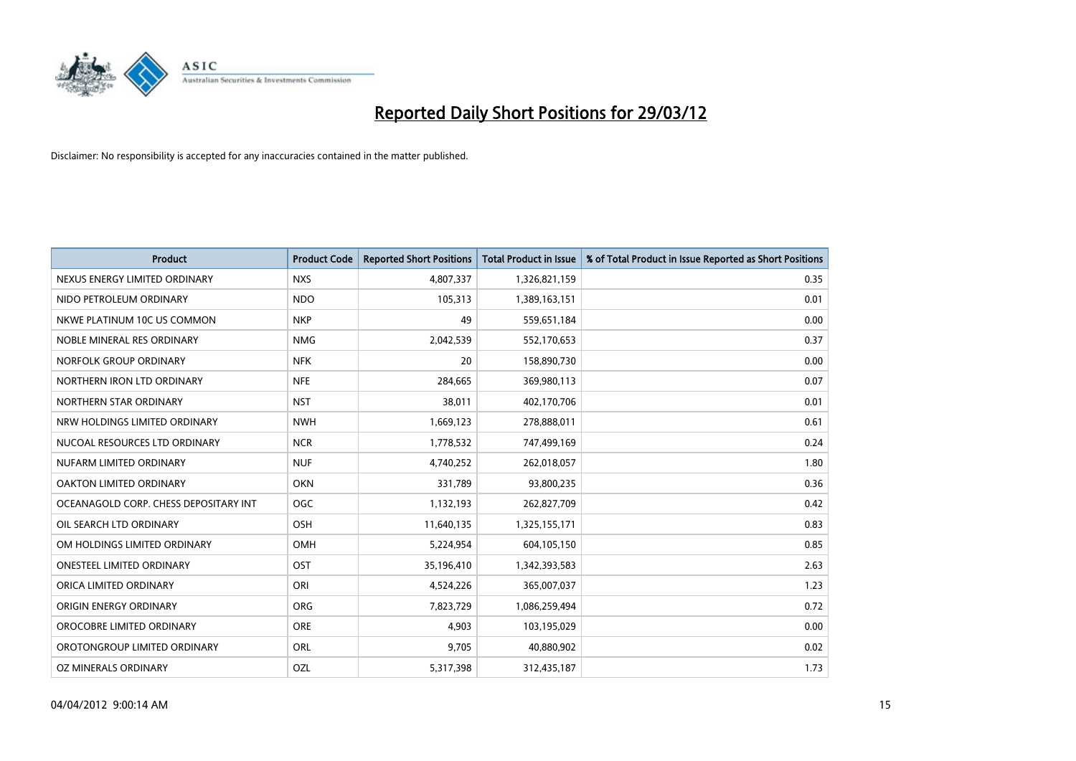

| <b>Product</b>                        | <b>Product Code</b> | <b>Reported Short Positions</b> | <b>Total Product in Issue</b> | % of Total Product in Issue Reported as Short Positions |
|---------------------------------------|---------------------|---------------------------------|-------------------------------|---------------------------------------------------------|
| NEXUS ENERGY LIMITED ORDINARY         | <b>NXS</b>          | 4,807,337                       | 1,326,821,159                 | 0.35                                                    |
| NIDO PETROLEUM ORDINARY               | <b>NDO</b>          | 105,313                         | 1,389,163,151                 | 0.01                                                    |
| NKWE PLATINUM 10C US COMMON           | <b>NKP</b>          | 49                              | 559,651,184                   | 0.00                                                    |
| NOBLE MINERAL RES ORDINARY            | <b>NMG</b>          | 2,042,539                       | 552,170,653                   | 0.37                                                    |
| NORFOLK GROUP ORDINARY                | <b>NFK</b>          | 20                              | 158,890,730                   | 0.00                                                    |
| NORTHERN IRON LTD ORDINARY            | <b>NFE</b>          | 284,665                         | 369,980,113                   | 0.07                                                    |
| NORTHERN STAR ORDINARY                | <b>NST</b>          | 38,011                          | 402,170,706                   | 0.01                                                    |
| NRW HOLDINGS LIMITED ORDINARY         | <b>NWH</b>          | 1,669,123                       | 278,888,011                   | 0.61                                                    |
| NUCOAL RESOURCES LTD ORDINARY         | <b>NCR</b>          | 1,778,532                       | 747,499,169                   | 0.24                                                    |
| NUFARM LIMITED ORDINARY               | <b>NUF</b>          | 4,740,252                       | 262,018,057                   | 1.80                                                    |
| OAKTON LIMITED ORDINARY               | <b>OKN</b>          | 331,789                         | 93,800,235                    | 0.36                                                    |
| OCEANAGOLD CORP. CHESS DEPOSITARY INT | <b>OGC</b>          | 1,132,193                       | 262,827,709                   | 0.42                                                    |
| OIL SEARCH LTD ORDINARY               | OSH                 | 11,640,135                      | 1,325,155,171                 | 0.83                                                    |
| OM HOLDINGS LIMITED ORDINARY          | OMH                 | 5,224,954                       | 604,105,150                   | 0.85                                                    |
| <b>ONESTEEL LIMITED ORDINARY</b>      | OST                 | 35,196,410                      | 1,342,393,583                 | 2.63                                                    |
| ORICA LIMITED ORDINARY                | ORI                 | 4,524,226                       | 365,007,037                   | 1.23                                                    |
| ORIGIN ENERGY ORDINARY                | <b>ORG</b>          | 7,823,729                       | 1,086,259,494                 | 0.72                                                    |
| OROCOBRE LIMITED ORDINARY             | <b>ORE</b>          | 4,903                           | 103,195,029                   | 0.00                                                    |
| OROTONGROUP LIMITED ORDINARY          | ORL                 | 9,705                           | 40,880,902                    | 0.02                                                    |
| OZ MINERALS ORDINARY                  | OZL                 | 5,317,398                       | 312,435,187                   | 1.73                                                    |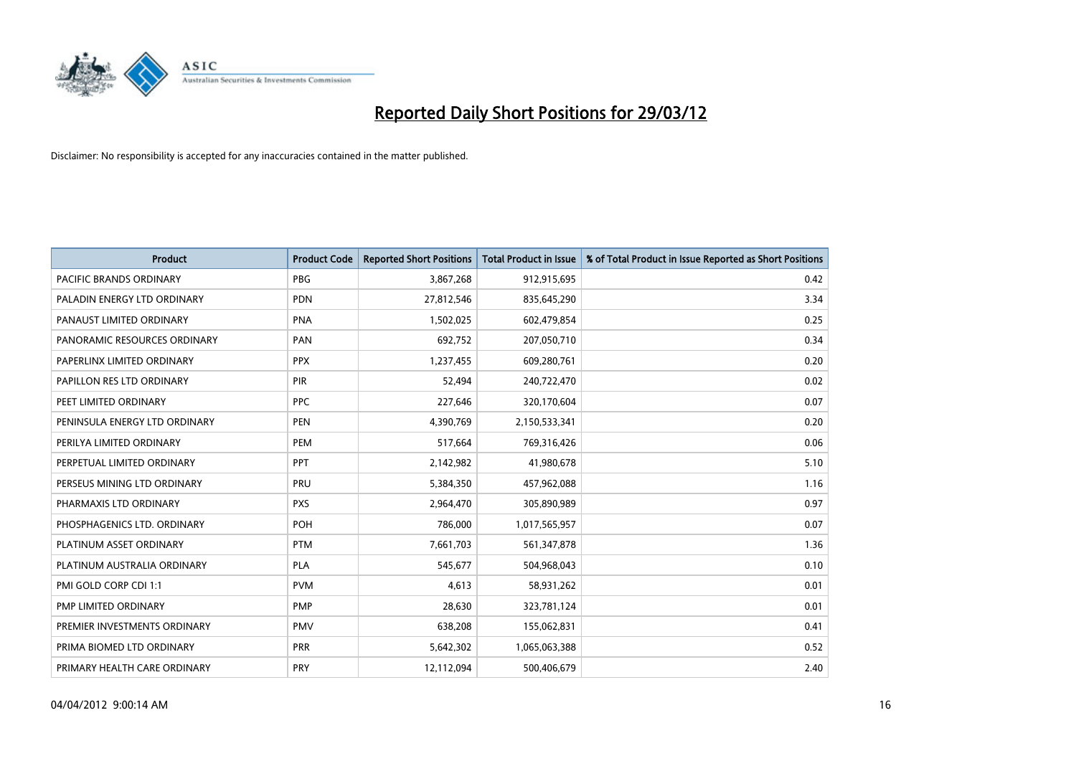

| <b>Product</b>                 | <b>Product Code</b> | <b>Reported Short Positions</b> | <b>Total Product in Issue</b> | % of Total Product in Issue Reported as Short Positions |
|--------------------------------|---------------------|---------------------------------|-------------------------------|---------------------------------------------------------|
| <b>PACIFIC BRANDS ORDINARY</b> | <b>PBG</b>          | 3,867,268                       | 912,915,695                   | 0.42                                                    |
| PALADIN ENERGY LTD ORDINARY    | <b>PDN</b>          | 27,812,546                      | 835,645,290                   | 3.34                                                    |
| PANAUST LIMITED ORDINARY       | <b>PNA</b>          | 1,502,025                       | 602,479,854                   | 0.25                                                    |
| PANORAMIC RESOURCES ORDINARY   | PAN                 | 692,752                         | 207,050,710                   | 0.34                                                    |
| PAPERLINX LIMITED ORDINARY     | <b>PPX</b>          | 1,237,455                       | 609,280,761                   | 0.20                                                    |
| PAPILLON RES LTD ORDINARY      | PIR                 | 52,494                          | 240,722,470                   | 0.02                                                    |
| PEET LIMITED ORDINARY          | <b>PPC</b>          | 227,646                         | 320,170,604                   | 0.07                                                    |
| PENINSULA ENERGY LTD ORDINARY  | <b>PEN</b>          | 4,390,769                       | 2,150,533,341                 | 0.20                                                    |
| PERILYA LIMITED ORDINARY       | PEM                 | 517,664                         | 769,316,426                   | 0.06                                                    |
| PERPETUAL LIMITED ORDINARY     | PPT                 | 2,142,982                       | 41,980,678                    | 5.10                                                    |
| PERSEUS MINING LTD ORDINARY    | PRU                 | 5,384,350                       | 457,962,088                   | 1.16                                                    |
| PHARMAXIS LTD ORDINARY         | <b>PXS</b>          | 2,964,470                       | 305,890,989                   | 0.97                                                    |
| PHOSPHAGENICS LTD. ORDINARY    | <b>POH</b>          | 786,000                         | 1,017,565,957                 | 0.07                                                    |
| PLATINUM ASSET ORDINARY        | <b>PTM</b>          | 7,661,703                       | 561,347,878                   | 1.36                                                    |
| PLATINUM AUSTRALIA ORDINARY    | <b>PLA</b>          | 545,677                         | 504,968,043                   | 0.10                                                    |
| PMI GOLD CORP CDI 1:1          | <b>PVM</b>          | 4,613                           | 58,931,262                    | 0.01                                                    |
| PMP LIMITED ORDINARY           | <b>PMP</b>          | 28,630                          | 323,781,124                   | 0.01                                                    |
| PREMIER INVESTMENTS ORDINARY   | <b>PMV</b>          | 638,208                         | 155,062,831                   | 0.41                                                    |
| PRIMA BIOMED LTD ORDINARY      | <b>PRR</b>          | 5,642,302                       | 1,065,063,388                 | 0.52                                                    |
| PRIMARY HEALTH CARE ORDINARY   | PRY                 | 12,112,094                      | 500,406,679                   | 2.40                                                    |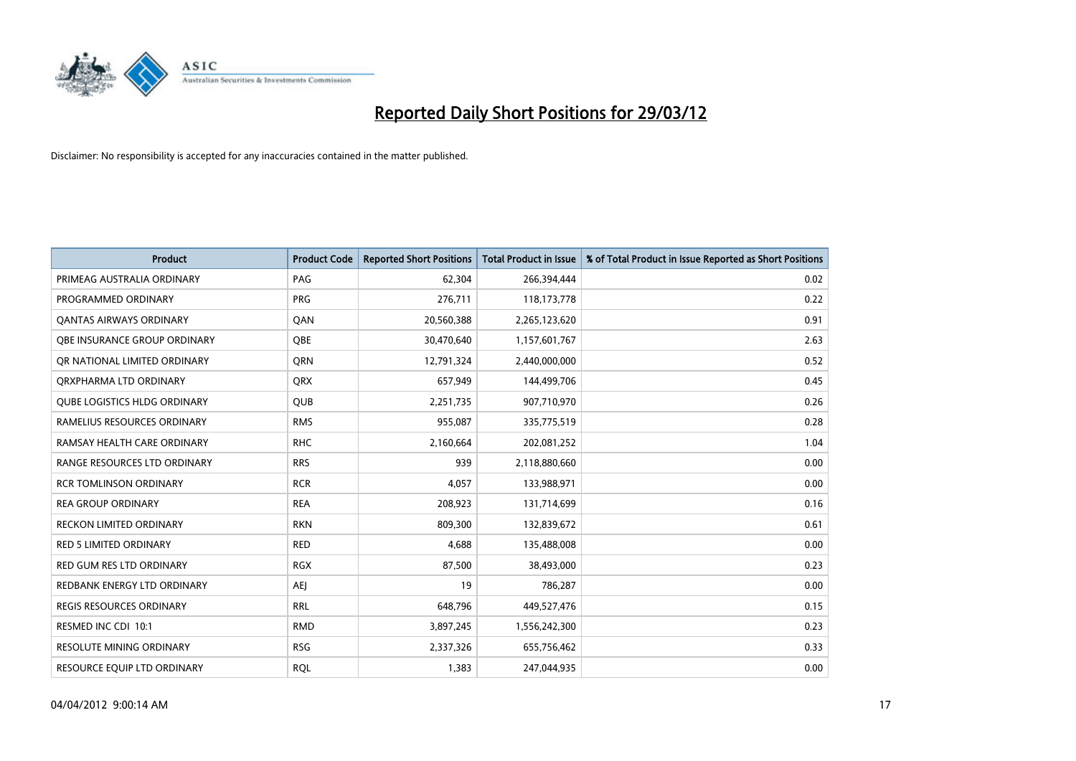

| <b>Product</b>                      | <b>Product Code</b> | <b>Reported Short Positions</b> | <b>Total Product in Issue</b> | % of Total Product in Issue Reported as Short Positions |
|-------------------------------------|---------------------|---------------------------------|-------------------------------|---------------------------------------------------------|
| PRIMEAG AUSTRALIA ORDINARY          | PAG                 | 62,304                          | 266,394,444                   | 0.02                                                    |
| PROGRAMMED ORDINARY                 | <b>PRG</b>          | 276,711                         | 118,173,778                   | 0.22                                                    |
| <b>QANTAS AIRWAYS ORDINARY</b>      | QAN                 | 20,560,388                      | 2,265,123,620                 | 0.91                                                    |
| OBE INSURANCE GROUP ORDINARY        | <b>OBE</b>          | 30,470,640                      | 1,157,601,767                 | 2.63                                                    |
| OR NATIONAL LIMITED ORDINARY        | QRN                 | 12,791,324                      | 2,440,000,000                 | 0.52                                                    |
| ORXPHARMA LTD ORDINARY              | <b>QRX</b>          | 657,949                         | 144,499,706                   | 0.45                                                    |
| <b>QUBE LOGISTICS HLDG ORDINARY</b> | QUB                 | 2,251,735                       | 907,710,970                   | 0.26                                                    |
| RAMELIUS RESOURCES ORDINARY         | <b>RMS</b>          | 955,087                         | 335,775,519                   | 0.28                                                    |
| RAMSAY HEALTH CARE ORDINARY         | <b>RHC</b>          | 2,160,664                       | 202,081,252                   | 1.04                                                    |
| RANGE RESOURCES LTD ORDINARY        | <b>RRS</b>          | 939                             | 2,118,880,660                 | 0.00                                                    |
| <b>RCR TOMLINSON ORDINARY</b>       | <b>RCR</b>          | 4,057                           | 133,988,971                   | 0.00                                                    |
| <b>REA GROUP ORDINARY</b>           | <b>REA</b>          | 208,923                         | 131,714,699                   | 0.16                                                    |
| <b>RECKON LIMITED ORDINARY</b>      | <b>RKN</b>          | 809,300                         | 132,839,672                   | 0.61                                                    |
| <b>RED 5 LIMITED ORDINARY</b>       | <b>RED</b>          | 4,688                           | 135,488,008                   | 0.00                                                    |
| <b>RED GUM RES LTD ORDINARY</b>     | <b>RGX</b>          | 87,500                          | 38,493,000                    | 0.23                                                    |
| REDBANK ENERGY LTD ORDINARY         | AEJ                 | 19                              | 786,287                       | 0.00                                                    |
| <b>REGIS RESOURCES ORDINARY</b>     | <b>RRL</b>          | 648,796                         | 449,527,476                   | 0.15                                                    |
| RESMED INC CDI 10:1                 | <b>RMD</b>          | 3,897,245                       | 1,556,242,300                 | 0.23                                                    |
| <b>RESOLUTE MINING ORDINARY</b>     | <b>RSG</b>          | 2,337,326                       | 655,756,462                   | 0.33                                                    |
| RESOURCE EQUIP LTD ORDINARY         | <b>RQL</b>          | 1,383                           | 247,044,935                   | 0.00                                                    |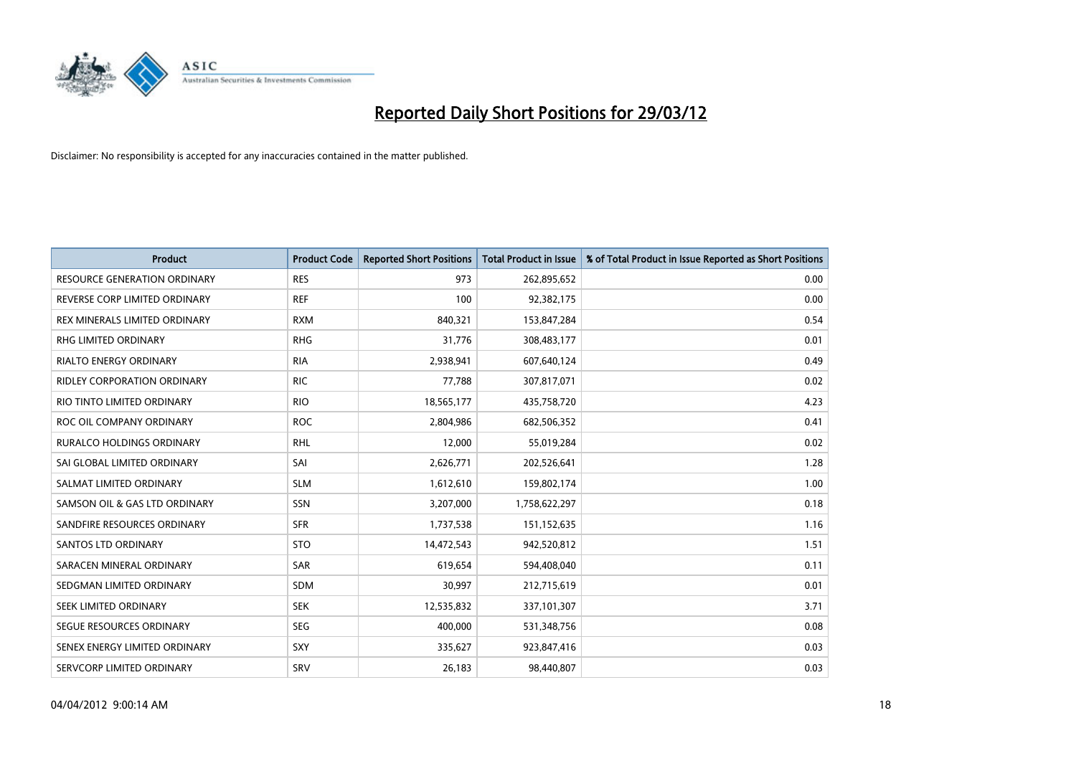

| <b>Product</b>                      | <b>Product Code</b> | <b>Reported Short Positions</b> | <b>Total Product in Issue</b> | % of Total Product in Issue Reported as Short Positions |
|-------------------------------------|---------------------|---------------------------------|-------------------------------|---------------------------------------------------------|
| <b>RESOURCE GENERATION ORDINARY</b> | <b>RES</b>          | 973                             | 262,895,652                   | 0.00                                                    |
| REVERSE CORP LIMITED ORDINARY       | <b>REF</b>          | 100                             | 92,382,175                    | 0.00                                                    |
| REX MINERALS LIMITED ORDINARY       | <b>RXM</b>          | 840,321                         | 153,847,284                   | 0.54                                                    |
| RHG LIMITED ORDINARY                | <b>RHG</b>          | 31,776                          | 308,483,177                   | 0.01                                                    |
| <b>RIALTO ENERGY ORDINARY</b>       | <b>RIA</b>          | 2,938,941                       | 607,640,124                   | 0.49                                                    |
| <b>RIDLEY CORPORATION ORDINARY</b>  | <b>RIC</b>          | 77,788                          | 307,817,071                   | 0.02                                                    |
| RIO TINTO LIMITED ORDINARY          | <b>RIO</b>          | 18,565,177                      | 435,758,720                   | 4.23                                                    |
| ROC OIL COMPANY ORDINARY            | <b>ROC</b>          | 2,804,986                       | 682,506,352                   | 0.41                                                    |
| <b>RURALCO HOLDINGS ORDINARY</b>    | <b>RHL</b>          | 12,000                          | 55,019,284                    | 0.02                                                    |
| SAI GLOBAL LIMITED ORDINARY         | SAI                 | 2,626,771                       | 202,526,641                   | 1.28                                                    |
| SALMAT LIMITED ORDINARY             | <b>SLM</b>          | 1,612,610                       | 159,802,174                   | 1.00                                                    |
| SAMSON OIL & GAS LTD ORDINARY       | SSN                 | 3,207,000                       | 1,758,622,297                 | 0.18                                                    |
| SANDFIRE RESOURCES ORDINARY         | <b>SFR</b>          | 1,737,538                       | 151,152,635                   | 1.16                                                    |
| SANTOS LTD ORDINARY                 | <b>STO</b>          | 14,472,543                      | 942,520,812                   | 1.51                                                    |
| SARACEN MINERAL ORDINARY            | <b>SAR</b>          | 619,654                         | 594,408,040                   | 0.11                                                    |
| SEDGMAN LIMITED ORDINARY            | SDM                 | 30,997                          | 212,715,619                   | 0.01                                                    |
| SEEK LIMITED ORDINARY               | <b>SEK</b>          | 12,535,832                      | 337,101,307                   | 3.71                                                    |
| SEGUE RESOURCES ORDINARY            | <b>SEG</b>          | 400,000                         | 531,348,756                   | 0.08                                                    |
| SENEX ENERGY LIMITED ORDINARY       | <b>SXY</b>          | 335,627                         | 923,847,416                   | 0.03                                                    |
| SERVCORP LIMITED ORDINARY           | SRV                 | 26,183                          | 98,440,807                    | 0.03                                                    |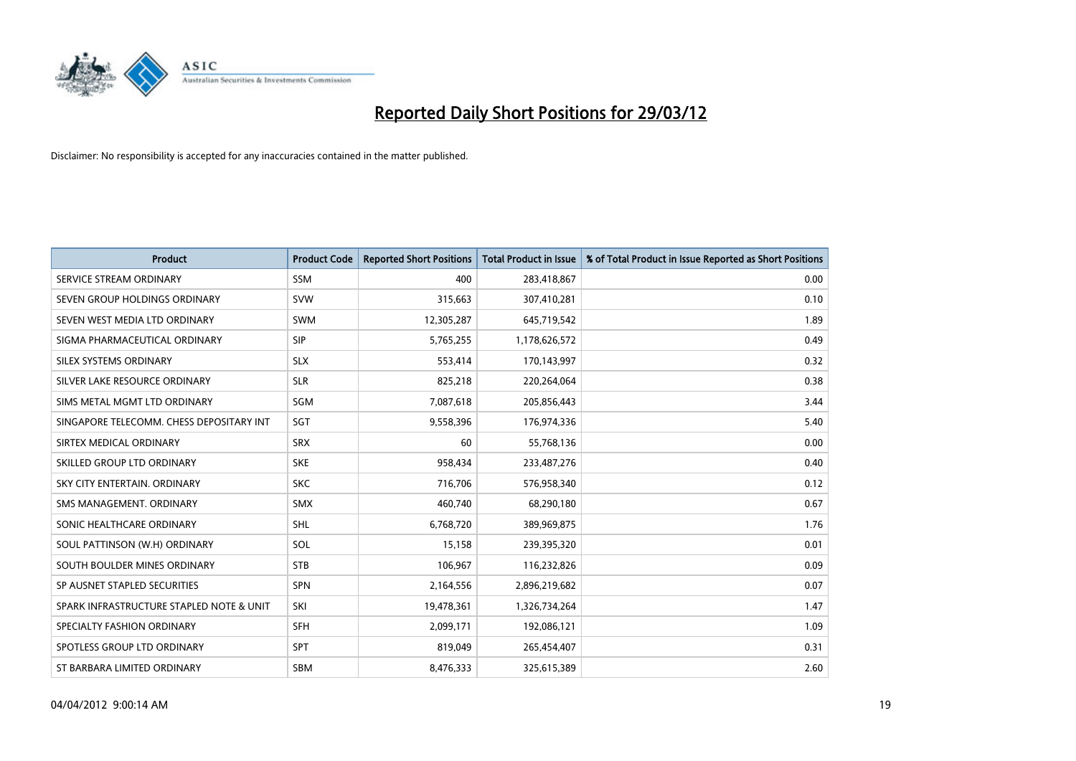

| <b>Product</b>                           | <b>Product Code</b> | <b>Reported Short Positions</b> | <b>Total Product in Issue</b> | % of Total Product in Issue Reported as Short Positions |
|------------------------------------------|---------------------|---------------------------------|-------------------------------|---------------------------------------------------------|
| SERVICE STREAM ORDINARY                  | SSM                 | 400                             | 283,418,867                   | 0.00                                                    |
| SEVEN GROUP HOLDINGS ORDINARY            | <b>SVW</b>          | 315,663                         | 307,410,281                   | 0.10                                                    |
| SEVEN WEST MEDIA LTD ORDINARY            | <b>SWM</b>          | 12,305,287                      | 645,719,542                   | 1.89                                                    |
| SIGMA PHARMACEUTICAL ORDINARY            | <b>SIP</b>          | 5,765,255                       | 1,178,626,572                 | 0.49                                                    |
| SILEX SYSTEMS ORDINARY                   | <b>SLX</b>          | 553,414                         | 170,143,997                   | 0.32                                                    |
| SILVER LAKE RESOURCE ORDINARY            | <b>SLR</b>          | 825,218                         | 220,264,064                   | 0.38                                                    |
| SIMS METAL MGMT LTD ORDINARY             | SGM                 | 7,087,618                       | 205,856,443                   | 3.44                                                    |
| SINGAPORE TELECOMM. CHESS DEPOSITARY INT | <b>SGT</b>          | 9,558,396                       | 176,974,336                   | 5.40                                                    |
| SIRTEX MEDICAL ORDINARY                  | <b>SRX</b>          | 60                              | 55,768,136                    | 0.00                                                    |
| SKILLED GROUP LTD ORDINARY               | <b>SKE</b>          | 958,434                         | 233,487,276                   | 0.40                                                    |
| SKY CITY ENTERTAIN. ORDINARY             | <b>SKC</b>          | 716,706                         | 576,958,340                   | 0.12                                                    |
| SMS MANAGEMENT, ORDINARY                 | <b>SMX</b>          | 460,740                         | 68,290,180                    | 0.67                                                    |
| SONIC HEALTHCARE ORDINARY                | <b>SHL</b>          | 6,768,720                       | 389,969,875                   | 1.76                                                    |
| SOUL PATTINSON (W.H) ORDINARY            | SOL                 | 15,158                          | 239,395,320                   | 0.01                                                    |
| SOUTH BOULDER MINES ORDINARY             | <b>STB</b>          | 106,967                         | 116,232,826                   | 0.09                                                    |
| SP AUSNET STAPLED SECURITIES             | SPN                 | 2,164,556                       | 2,896,219,682                 | 0.07                                                    |
| SPARK INFRASTRUCTURE STAPLED NOTE & UNIT | SKI                 | 19,478,361                      | 1,326,734,264                 | 1.47                                                    |
| SPECIALTY FASHION ORDINARY               | <b>SFH</b>          | 2,099,171                       | 192,086,121                   | 1.09                                                    |
| SPOTLESS GROUP LTD ORDINARY              | <b>SPT</b>          | 819,049                         | 265,454,407                   | 0.31                                                    |
| ST BARBARA LIMITED ORDINARY              | <b>SBM</b>          | 8,476,333                       | 325,615,389                   | 2.60                                                    |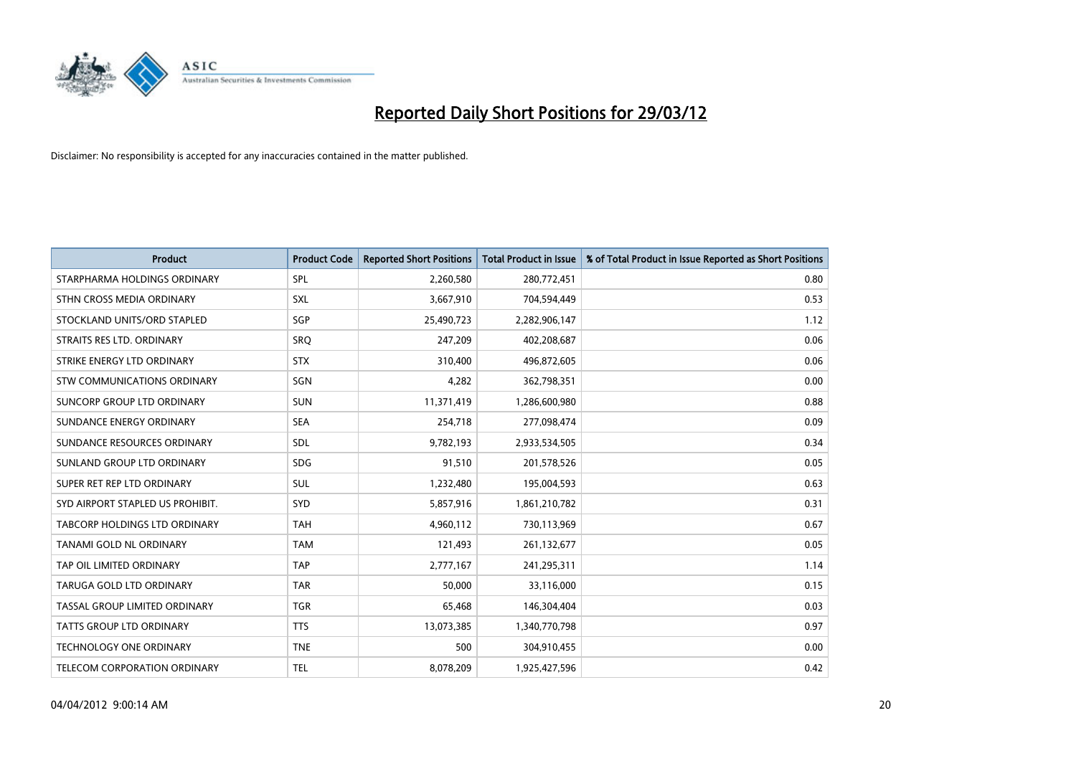

| <b>Product</b>                   | <b>Product Code</b> | <b>Reported Short Positions</b> | <b>Total Product in Issue</b> | % of Total Product in Issue Reported as Short Positions |
|----------------------------------|---------------------|---------------------------------|-------------------------------|---------------------------------------------------------|
| STARPHARMA HOLDINGS ORDINARY     | <b>SPL</b>          | 2,260,580                       | 280,772,451                   | 0.80                                                    |
| STHN CROSS MEDIA ORDINARY        | <b>SXL</b>          | 3,667,910                       | 704,594,449                   | 0.53                                                    |
| STOCKLAND UNITS/ORD STAPLED      | SGP                 | 25,490,723                      | 2,282,906,147                 | 1.12                                                    |
| STRAITS RES LTD. ORDINARY        | SRQ                 | 247,209                         | 402,208,687                   | 0.06                                                    |
| STRIKE ENERGY LTD ORDINARY       | <b>STX</b>          | 310,400                         | 496,872,605                   | 0.06                                                    |
| STW COMMUNICATIONS ORDINARY      | SGN                 | 4,282                           | 362,798,351                   | 0.00                                                    |
| SUNCORP GROUP LTD ORDINARY       | <b>SUN</b>          | 11,371,419                      | 1,286,600,980                 | 0.88                                                    |
| SUNDANCE ENERGY ORDINARY         | <b>SEA</b>          | 254,718                         | 277,098,474                   | 0.09                                                    |
| SUNDANCE RESOURCES ORDINARY      | <b>SDL</b>          | 9,782,193                       | 2,933,534,505                 | 0.34                                                    |
| SUNLAND GROUP LTD ORDINARY       | <b>SDG</b>          | 91,510                          | 201,578,526                   | 0.05                                                    |
| SUPER RET REP LTD ORDINARY       | SUL                 | 1,232,480                       | 195,004,593                   | 0.63                                                    |
| SYD AIRPORT STAPLED US PROHIBIT. | <b>SYD</b>          | 5,857,916                       | 1,861,210,782                 | 0.31                                                    |
| TABCORP HOLDINGS LTD ORDINARY    | <b>TAH</b>          | 4,960,112                       | 730,113,969                   | 0.67                                                    |
| <b>TANAMI GOLD NL ORDINARY</b>   | <b>TAM</b>          | 121,493                         | 261,132,677                   | 0.05                                                    |
| TAP OIL LIMITED ORDINARY         | <b>TAP</b>          | 2,777,167                       | 241,295,311                   | 1.14                                                    |
| TARUGA GOLD LTD ORDINARY         | <b>TAR</b>          | 50,000                          | 33,116,000                    | 0.15                                                    |
| TASSAL GROUP LIMITED ORDINARY    | <b>TGR</b>          | 65,468                          | 146,304,404                   | 0.03                                                    |
| <b>TATTS GROUP LTD ORDINARY</b>  | <b>TTS</b>          | 13,073,385                      | 1,340,770,798                 | 0.97                                                    |
| <b>TECHNOLOGY ONE ORDINARY</b>   | <b>TNE</b>          | 500                             | 304,910,455                   | 0.00                                                    |
| TELECOM CORPORATION ORDINARY     | <b>TEL</b>          | 8,078,209                       | 1,925,427,596                 | 0.42                                                    |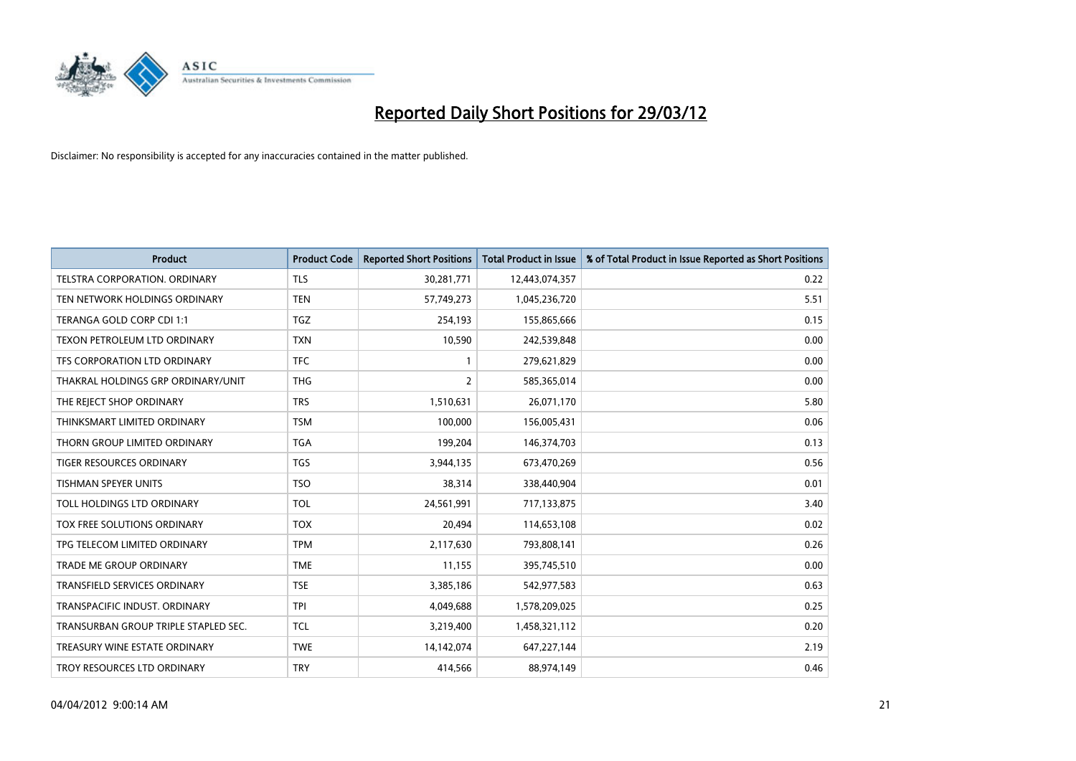

| <b>Product</b>                       | <b>Product Code</b> | <b>Reported Short Positions</b> | <b>Total Product in Issue</b> | % of Total Product in Issue Reported as Short Positions |
|--------------------------------------|---------------------|---------------------------------|-------------------------------|---------------------------------------------------------|
| <b>TELSTRA CORPORATION, ORDINARY</b> | <b>TLS</b>          | 30,281,771                      | 12,443,074,357                | 0.22                                                    |
| TEN NETWORK HOLDINGS ORDINARY        | <b>TEN</b>          | 57,749,273                      | 1,045,236,720                 | 5.51                                                    |
| TERANGA GOLD CORP CDI 1:1            | <b>TGZ</b>          | 254,193                         | 155,865,666                   | 0.15                                                    |
| TEXON PETROLEUM LTD ORDINARY         | <b>TXN</b>          | 10,590                          | 242,539,848                   | 0.00                                                    |
| TFS CORPORATION LTD ORDINARY         | <b>TFC</b>          | 1                               | 279,621,829                   | 0.00                                                    |
| THAKRAL HOLDINGS GRP ORDINARY/UNIT   | <b>THG</b>          | $\overline{2}$                  | 585,365,014                   | 0.00                                                    |
| THE REJECT SHOP ORDINARY             | <b>TRS</b>          | 1,510,631                       | 26,071,170                    | 5.80                                                    |
| THINKSMART LIMITED ORDINARY          | <b>TSM</b>          | 100,000                         | 156,005,431                   | 0.06                                                    |
| THORN GROUP LIMITED ORDINARY         | <b>TGA</b>          | 199,204                         | 146,374,703                   | 0.13                                                    |
| <b>TIGER RESOURCES ORDINARY</b>      | <b>TGS</b>          | 3,944,135                       | 673,470,269                   | 0.56                                                    |
| TISHMAN SPEYER UNITS                 | <b>TSO</b>          | 38,314                          | 338,440,904                   | 0.01                                                    |
| TOLL HOLDINGS LTD ORDINARY           | <b>TOL</b>          | 24,561,991                      | 717,133,875                   | 3.40                                                    |
| TOX FREE SOLUTIONS ORDINARY          | <b>TOX</b>          | 20,494                          | 114,653,108                   | 0.02                                                    |
| TPG TELECOM LIMITED ORDINARY         | <b>TPM</b>          | 2,117,630                       | 793,808,141                   | 0.26                                                    |
| <b>TRADE ME GROUP ORDINARY</b>       | <b>TME</b>          | 11,155                          | 395,745,510                   | 0.00                                                    |
| <b>TRANSFIELD SERVICES ORDINARY</b>  | <b>TSE</b>          | 3,385,186                       | 542,977,583                   | 0.63                                                    |
| TRANSPACIFIC INDUST. ORDINARY        | <b>TPI</b>          | 4,049,688                       | 1,578,209,025                 | 0.25                                                    |
| TRANSURBAN GROUP TRIPLE STAPLED SEC. | <b>TCL</b>          | 3,219,400                       | 1,458,321,112                 | 0.20                                                    |
| TREASURY WINE ESTATE ORDINARY        | <b>TWE</b>          | 14,142,074                      | 647,227,144                   | 2.19                                                    |
| TROY RESOURCES LTD ORDINARY          | <b>TRY</b>          | 414,566                         | 88,974,149                    | 0.46                                                    |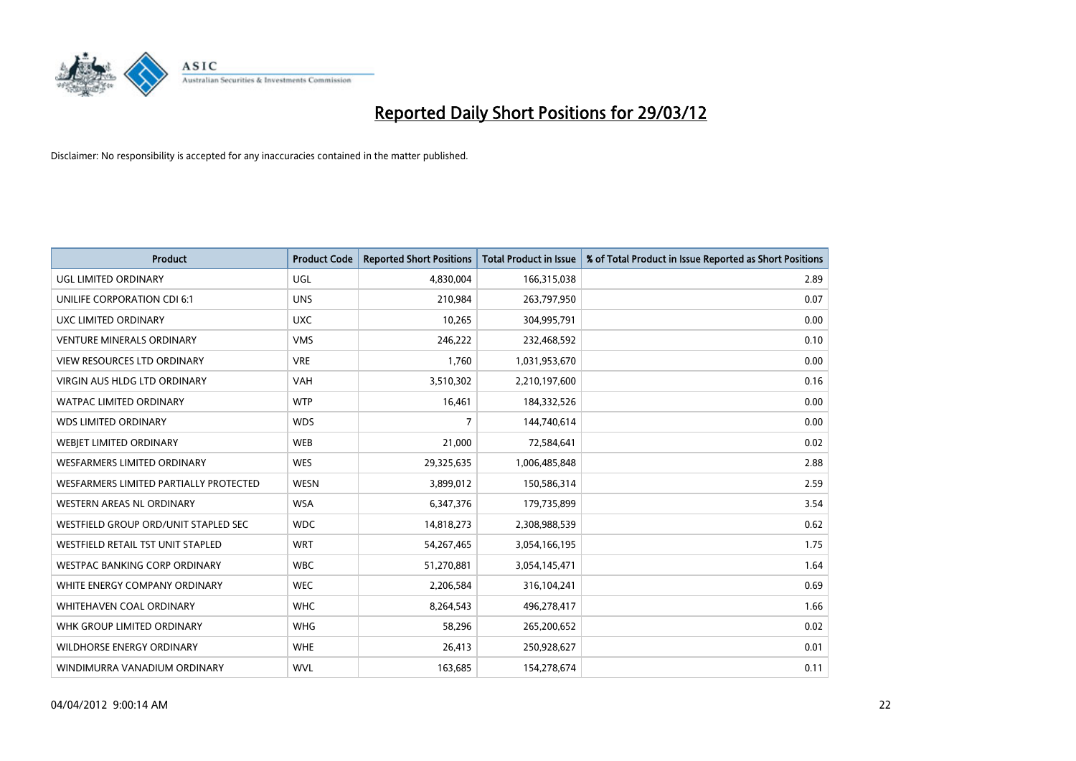

| <b>Product</b>                         | <b>Product Code</b> | <b>Reported Short Positions</b> | <b>Total Product in Issue</b> | % of Total Product in Issue Reported as Short Positions |
|----------------------------------------|---------------------|---------------------------------|-------------------------------|---------------------------------------------------------|
| <b>UGL LIMITED ORDINARY</b>            | UGL                 | 4,830,004                       | 166,315,038                   | 2.89                                                    |
| UNILIFE CORPORATION CDI 6:1            | <b>UNS</b>          | 210,984                         | 263,797,950                   | 0.07                                                    |
| UXC LIMITED ORDINARY                   | <b>UXC</b>          | 10,265                          | 304,995,791                   | 0.00                                                    |
| <b>VENTURE MINERALS ORDINARY</b>       | <b>VMS</b>          | 246,222                         | 232,468,592                   | 0.10                                                    |
| <b>VIEW RESOURCES LTD ORDINARY</b>     | <b>VRE</b>          | 1,760                           | 1,031,953,670                 | 0.00                                                    |
| <b>VIRGIN AUS HLDG LTD ORDINARY</b>    | VAH                 | 3,510,302                       | 2,210,197,600                 | 0.16                                                    |
| <b>WATPAC LIMITED ORDINARY</b>         | <b>WTP</b>          | 16,461                          | 184,332,526                   | 0.00                                                    |
| <b>WDS LIMITED ORDINARY</b>            | <b>WDS</b>          | $\overline{7}$                  | 144,740,614                   | 0.00                                                    |
| WEBIET LIMITED ORDINARY                | <b>WEB</b>          | 21,000                          | 72,584,641                    | 0.02                                                    |
| WESFARMERS LIMITED ORDINARY            | <b>WES</b>          | 29,325,635                      | 1,006,485,848                 | 2.88                                                    |
| WESFARMERS LIMITED PARTIALLY PROTECTED | <b>WESN</b>         | 3,899,012                       | 150,586,314                   | 2.59                                                    |
| <b>WESTERN AREAS NL ORDINARY</b>       | <b>WSA</b>          | 6,347,376                       | 179,735,899                   | 3.54                                                    |
| WESTFIELD GROUP ORD/UNIT STAPLED SEC   | <b>WDC</b>          | 14,818,273                      | 2,308,988,539                 | 0.62                                                    |
| WESTFIELD RETAIL TST UNIT STAPLED      | <b>WRT</b>          | 54,267,465                      | 3,054,166,195                 | 1.75                                                    |
| <b>WESTPAC BANKING CORP ORDINARY</b>   | <b>WBC</b>          | 51,270,881                      | 3,054,145,471                 | 1.64                                                    |
| WHITE ENERGY COMPANY ORDINARY          | <b>WEC</b>          | 2,206,584                       | 316,104,241                   | 0.69                                                    |
| WHITEHAVEN COAL ORDINARY               | <b>WHC</b>          | 8,264,543                       | 496,278,417                   | 1.66                                                    |
| WHK GROUP LIMITED ORDINARY             | <b>WHG</b>          | 58,296                          | 265,200,652                   | 0.02                                                    |
| <b>WILDHORSE ENERGY ORDINARY</b>       | <b>WHE</b>          | 26,413                          | 250,928,627                   | 0.01                                                    |
| WINDIMURRA VANADIUM ORDINARY           | <b>WVL</b>          | 163,685                         | 154,278,674                   | 0.11                                                    |